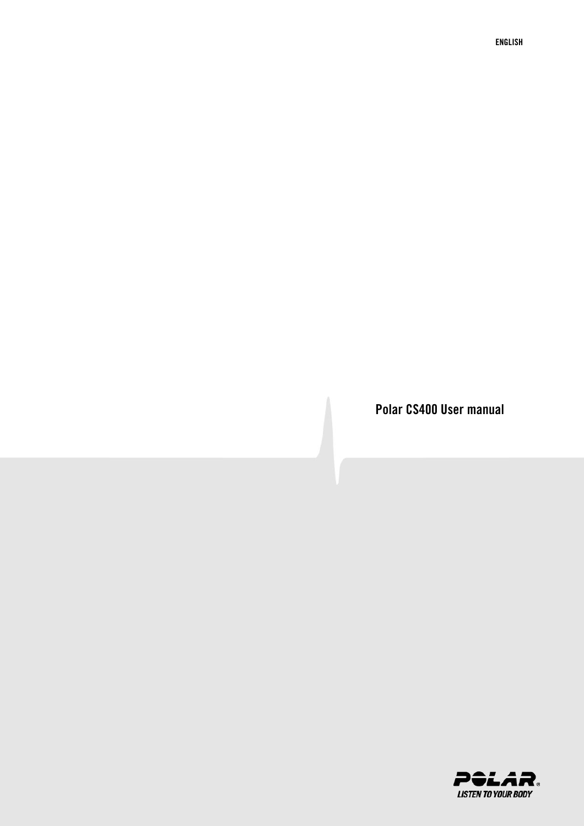**Polar CS400 User manual**

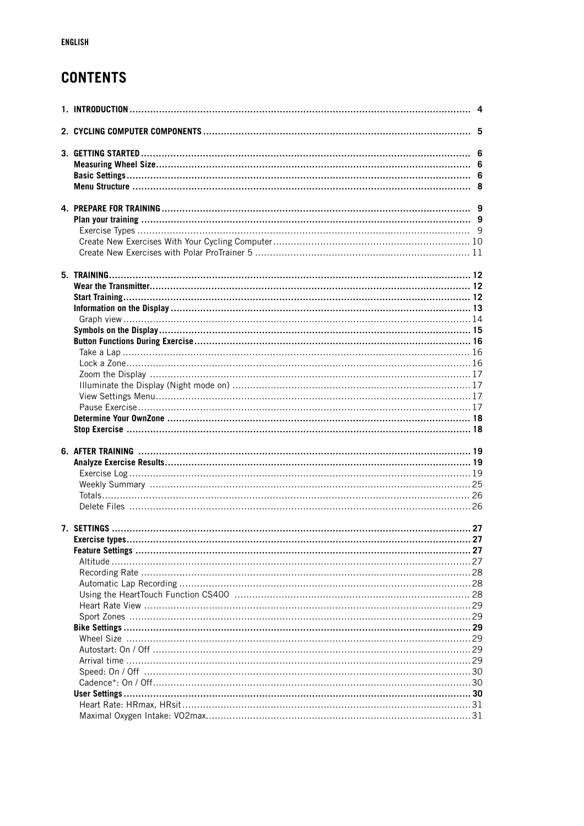# **CONTENTS**

|  | 27 |
|--|----|
|  |    |
|  |    |
|  |    |
|  |    |
|  |    |
|  |    |
|  |    |
|  |    |
|  |    |
|  |    |
|  |    |
|  |    |
|  |    |
|  |    |
|  |    |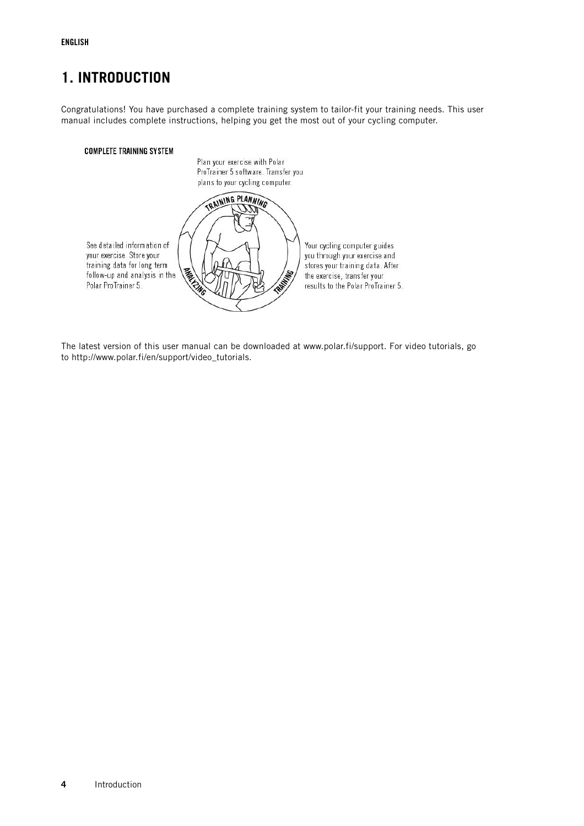# <span id="page-3-0"></span>**1. INTRODUCTION**

Congratulations! You have purchased a complete training system to tailor-fit your training needs. This user manual includes complete instructions, helping you get the most out of your cycling computer.

### **COMPLETE TRAINING SYSTEM**



The latest version of this user manual can be downloaded at www.polar.fi/support. For video tutorials, go to http://www.polar.fi/en/support/video\_tutorials.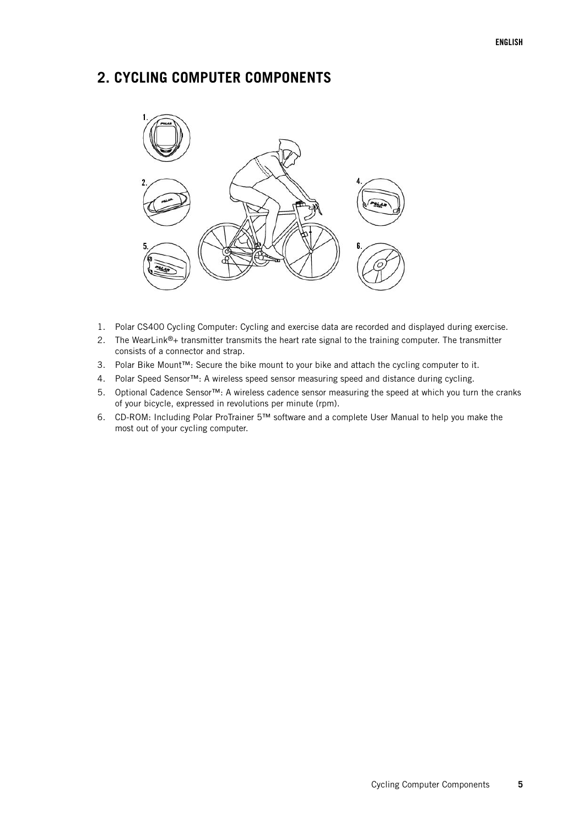# <span id="page-4-0"></span>**2. CYCLING COMPUTER COMPONENTS**



- 1. Polar CS400 Cycling Computer: Cycling and exercise data are recorded and displayed during exercise.
- 2. The WearLink®+ transmitter transmits the heart rate signal to the training computer. The transmitter consists of a connector and strap.
- 3. Polar Bike Mount™: Secure the bike mount to your bike and attach the cycling computer to it.
- 4. Polar Speed Sensor™: A wireless speed sensor measuring speed and distance during cycling.
- 5. Optional Cadence Sensor™: A wireless cadence sensor measuring the speed at which you turn the cranks of your bicycle, expressed in revolutions per minute (rpm).
- 6. CD-ROM: Including Polar ProTrainer 5™ software and a complete User Manual to help you make the most out of your cycling computer.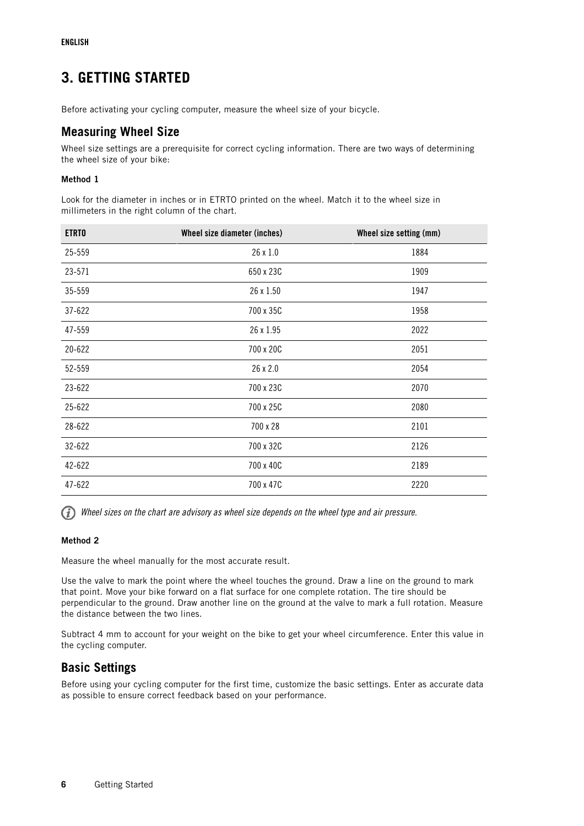# <span id="page-5-0"></span>**3. GETTING STARTED**

<span id="page-5-1"></span>Before activating your cycling computer, measure the wheel size of your bicycle.

## **Measuring Wheel Size**

Wheel size settings are a prerequisite for correct cycling information. There are two ways of determining the wheel size of your bike:

### **Method 1**

Look for the diameter in inches or in ETRTO printed on the wheel. Match it to the wheel size in millimeters in the right column of the chart.

| <b>ETRTO</b> | Wheel size diameter (inches) | Wheel size setting (mm) |
|--------------|------------------------------|-------------------------|
| 25-559       | 26 x 1.0                     | 1884                    |
| 23-571       | 650 x 23C                    | 1909                    |
| 35-559       | 26 x 1.50                    | 1947                    |
| 37-622       | 700 x 35C                    | 1958                    |
| 47-559       | 26 x 1.95                    | 2022                    |
| 20-622       | 700 x 20C                    | 2051                    |
| 52-559       | 26 x 2.0                     | 2054                    |
| 23-622       | 700 x 23C                    | 2070                    |
| 25-622       | 700 x 25C                    | 2080                    |
| 28-622       | 700 x 28                     | 2101                    |
| 32-622       | 700 x 32C                    | 2126                    |
| 42-622       | 700 x 40C                    | 2189                    |
| 47-622       | 700 x 47C                    | 2220                    |

(i) Wheel sizes on the chart are advisory as wheel size depends on the wheel type and air pressure.

### **Method 2**

Measure the wheel manually for the most accurate result.

Use the valve to mark the point where the wheel touches the ground. Draw a line on the ground to mark that point. Move your bike forward on a flat surface for one complete rotation. The tire should be perpendicular to the ground. Draw another line on the ground at the valve to mark a full rotation. Measure the distance between the two lines.

Subtract 4 mm to account for your weight on the bike to get your wheel circumference. Enter this value in the cycling computer.

## <span id="page-5-2"></span>**Basic Settings**

Before using your cycling computer for the first time, customize the basic settings. Enter as accurate data as possible to ensure correct feedback based on your performance.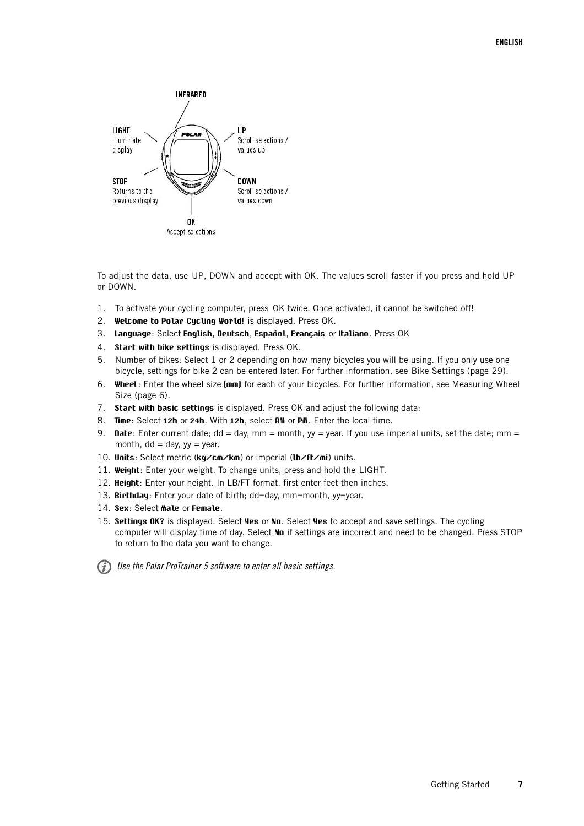

To adjust the data, use UP, DOWN and accept with OK. The values scroll faster if you press and hold UP or DOWN.

- 1. To activate your cycling computer, press OK twice. Once activated, it cannot be switched off!
- 2. **Welcome to Polar Cycling World!** is displayed. Press OK.
- 3. **Language**: Select **English**, **Deutsch**, **Español**, **Français** or **Italiano**. Press OK
- 4. **Start with bike settings** is displayed. Press OK.
- 5. Number of bikes: Select 1 or 2 depending on how many bicycles you will be using. If you only use one bicycle, settings for bike 2 can be entered later. For further information, see [Bike Settings \(page](#page-28-2) 29).
- 6. **Wheel**: Enter the wheel size **(mm)** for each of your bicycles. For further information, see [Measuring Wheel](#page-5-1) [Size \(page](#page-5-1) 6).
- 7. **Start with basic settings** is displayed. Press OK and adjust the following data:
- 8. **Time**: Select **12h** or **24h**. With **12h**, select **AM** or **PM**. Enter the local time.
- 9. **Date**: Enter current date;  $dd = day$ , mm = month,  $yy = year$ . If you use imperial units, set the date; mm = month,  $dd = day$ ,  $yy = year$ .
- 10. **Units**: Select metric (**kg/cm/km**) or imperial (**lb/ft/mi**) units.
- 11. **Weight**: Enter your weight. To change units, press and hold the LIGHT.
- 12. **Height**: Enter your height. In LB/FT format, first enter feet then inches.
- 13. **Birthday**: Enter your date of birth; dd=day, mm=month, yy=year.
- 14. **Sex**: Select **Male** or **Female**.
- 15. **Settings OK?** is displayed. Select **Yes** or **No**. Select **Yes** to accept and save settings. The cycling computer will display time of day. Select **No** if settings are incorrect and need to be changed. Press STOP to return to the data you want to change.

Use the Polar ProTrainer 5 software to enter all basic settings.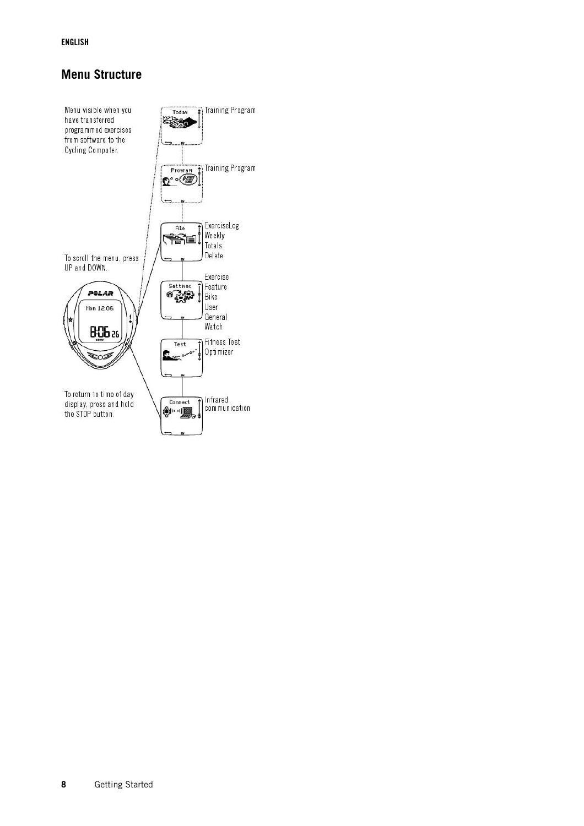### **ENGLISH**

## <span id="page-7-0"></span>**Menu Structure**

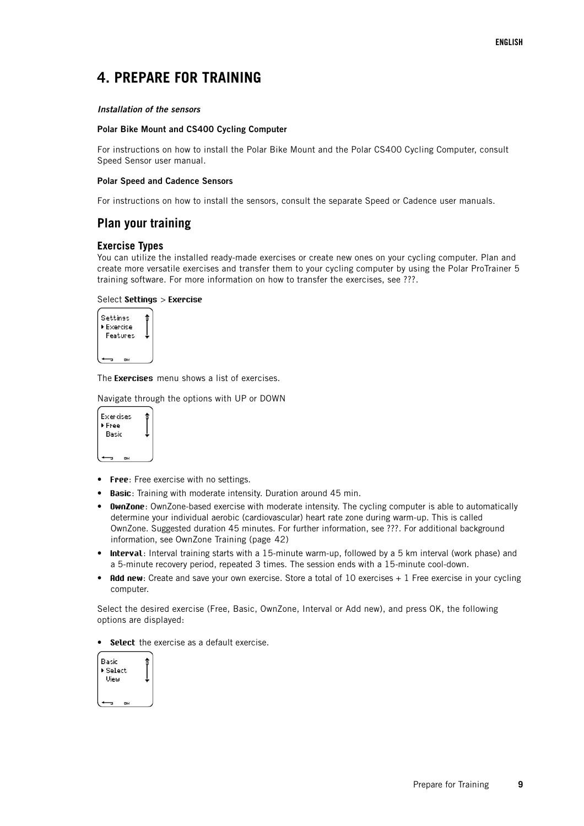# <span id="page-8-0"></span>**4. PREPARE FOR TRAINING**

### **Installation of the sensors**

### **Polar Bike Mount and CS400 Cycling Computer**

For instructions on how to install the Polar Bike Mount and the Polar CS400 Cycling Computer, consult Speed Sensor user manual.

### **Polar Speed and Cadence Sensors**

<span id="page-8-1"></span>For instructions on how to install the sensors, consult the separate Speed or Cadence user manuals.

### **Plan your training**

### <span id="page-8-2"></span>**Exercise Types**

You can utilize the installed ready-made exercises or create new ones on your cycling computer. Plan and create more versatile exercises and transfer them to your cycling computer by using the Polar ProTrainer 5 training software. For more information on how to transfer the exercises, see ???.

### Select **Settings** > **Exercise**



The **Exercises** menu shows a list of exercises.

Navigate through the options with UP or DOWN



- **Free**: Free exercise with no settings.
- **Basic**: Training with moderate intensity. Duration around 45 min.
- **OwnZone**: OwnZone-based exercise with moderate intensity. The cycling computer is able to automatically determine your individual aerobic (cardiovascular) heart rate zone during warm-up. This is called OwnZone. Suggested duration 45 minutes. For further information, see ???. For additional background information, see [OwnZone Training \(page](#page-41-0) 42)
- **Interval**: Interval training starts with a 15-minute warm-up, followed by a 5 km interval (work phase) and a 5-minute recovery period, repeated 3 times. The session ends with a 15-minute cool-down.
- **Add new**: Create and save your own exercise. Store a total of 10 exercises + 1 Free exercise in your cycling computer.

Select the desired exercise (Free, Basic, OwnZone, Interval or Add new), and press OK, the following options are displayed:

• **Select** the exercise as a default exercise.

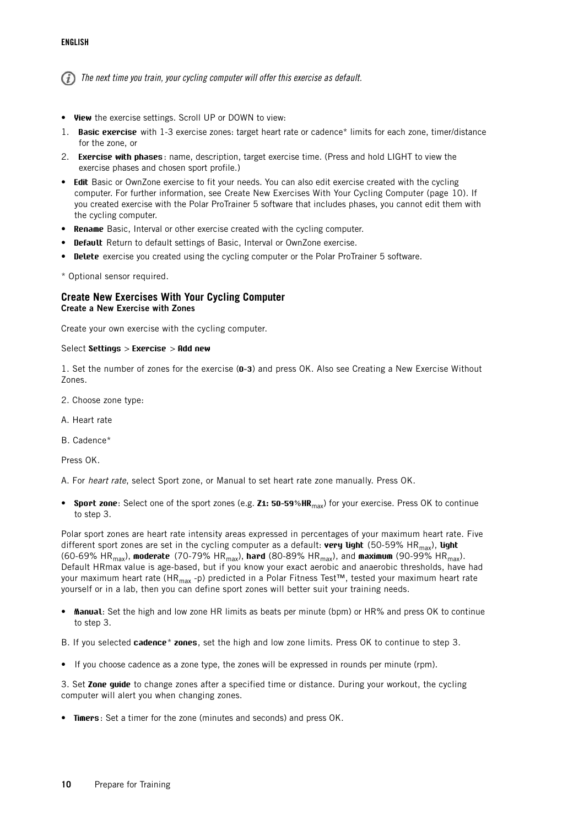The next time you train, your cycling computer will offer this exercise as default.

- **View** the exercise settings. Scroll UP or DOWN to view:
- 1. **Basic exercise** with 1-3 exercise zones: target heart rate or cadence\* limits for each zone, timer/distance for the zone, or
- 2. **Exercise with phases**: name, description, target exercise time. (Press and hold LIGHT to view the exercise phases and chosen sport profile.)
- **Edit** Basic or OwnZone exercise to fit your needs. You can also edit exercise created with the cycling computer. For further information, see [Create New Exercises With Your Cycling Computer \(page](#page-9-0) 10). If you created exercise with the Polar ProTrainer 5 software that includes phases, you cannot edit them with the cycling computer.
- **Rename** Basic, Interval or other exercise created with the cycling computer.
- **Default** Return to default settings of Basic, Interval or OwnZone exercise.
- **Delete** exercise you created using the cycling computer or the Polar ProTrainer 5 software.

<span id="page-9-0"></span>\* Optional sensor required.

### **Create New Exercises With Your Cycling Computer Create a New Exercise with Zones**

Create your own exercise with the cycling computer.

#### Select **Settings** > **Exercise** > **Add new**

1. Set the number of zones for the exercise (**0-3**) and press OK. Also see Creating a New Exercise Without Zones.

- 2. Choose zone type:
- A. Heart rate
- B. Cadence\*

Press OK.

A. For heart rate, select Sport zone, or Manual to set heart rate zone manually. Press OK.

• **Sport zone**: Select one of the sport zones (e.g. **Z1: 50-59%HR**max) for your exercise. Press OK to continue to step 3.

Polar sport zones are heart rate intensity areas expressed in percentages of your maximum heart rate. Five different sport zones are set in the cycling computer as a default: **very light** (50-59% HRmax), **light** (60-69% HR<sub>max</sub>), moderate (70-79% HR<sub>max</sub>), hard (80-89% HR<sub>max</sub>), and maximum (90-99% HR<sub>max</sub>). Default HRmax value is age-based, but if you know your exact aerobic and anaerobic thresholds, have had your maximum heart rate (HR<sub>max</sub> -p) predicted in a Polar Fitness Test™, tested your maximum heart rate yourself or in a lab, then you can define sport zones will better suit your training needs.

- **Manual**: Set the high and low zone HR limits as beats per minute (bpm) or HR% and press OK to continue to step 3.
- B. If you selected **cadence**\* **zones**, set the high and low zone limits. Press OK to continue to step 3.
- If you choose cadence as a zone type, the zones will be expressed in rounds per minute (rpm).

3. Set **Zone guide** to change zones after a specified time or distance. During your workout, the cycling computer will alert you when changing zones.

• **Timers**: Set a timer for the zone (minutes and seconds) and press OK.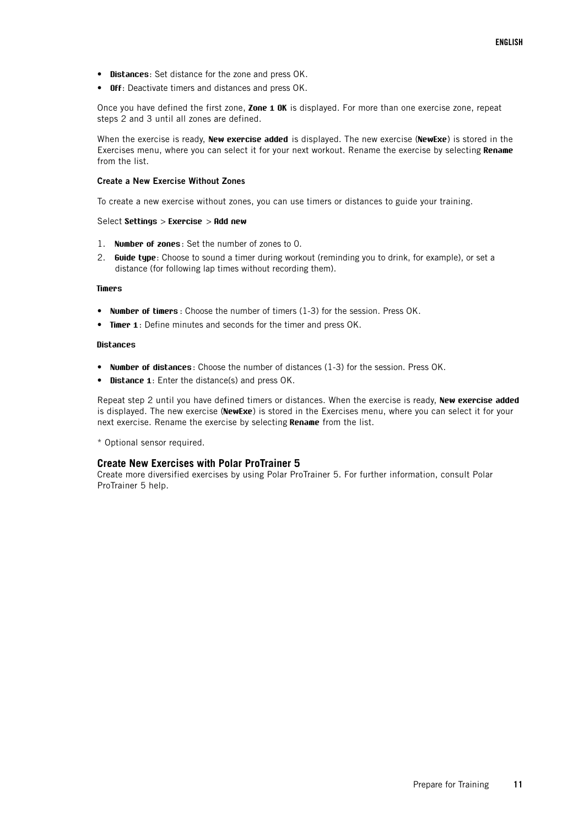- **Distances**: Set distance for the zone and press OK.
- **Off**: Deactivate timers and distances and press OK.

Once you have defined the first zone, **Zone 1 OK** is displayed. For more than one exercise zone, repeat steps 2 and 3 until all zones are defined.

When the exercise is ready, **New exercise added** is displayed. The new exercise (**NewExe**) is stored in the Exercises menu, where you can select it for your next workout. Rename the exercise by selecting **Rename** from the list.

#### **Create a New Exercise Without Zones**

To create a new exercise without zones, you can use timers or distances to guide your training.

### Select **Settings** > **Exercise** > **Add new**

- 1. **Number of zones**: Set the number of zones to 0.
- 2. **Guide type**: Choose to sound a timer during workout (reminding you to drink, for example), or set a distance (for following lap times without recording them).

#### **Timers**

- **Number of timers** : Choose the number of timers (1-3) for the session. Press OK.
- **Timer 1**: Define minutes and seconds for the timer and press OK.

### **Distances**

- **Number of distances**: Choose the number of distances (1-3) for the session. Press OK.
- **Distance 1**: Enter the distance(s) and press OK.

Repeat step 2 until you have defined timers or distances. When the exercise is ready, **New exercise added** is displayed. The new exercise (**NewExe**) is stored in the Exercises menu, where you can select it for your next exercise. Rename the exercise by selecting **Rename** from the list.

<span id="page-10-0"></span>\* Optional sensor required.

#### **Create New Exercises with Polar ProTrainer 5**

Create more diversified exercises by using Polar ProTrainer 5. For further information, consult Polar ProTrainer 5 help.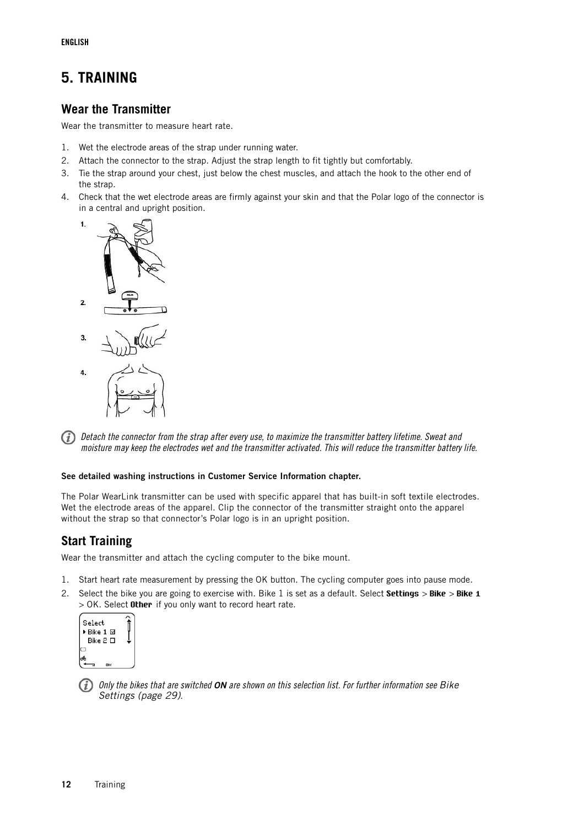# <span id="page-11-0"></span>**5. TRAINING**

# <span id="page-11-1"></span>**Wear the Transmitter**

Wear the transmitter to measure heart rate.

- 1. Wet the electrode areas of the strap under running water.
- 2. Attach the connector to the strap. Adjust the strap length to fit tightly but comfortably.
- 3. Tie the strap around your chest, just below the chest muscles, and attach the hook to the other end of the strap.
- 4. Check that the wet electrode areas are firmly against your skin and that the Polar logo of the connector is in a central and upright position.



Detach the connector from the strap after every use, to maximize the transmitter battery lifetime. Sweat and  $(i)$ moisture may keep the electrodes wet and the transmitter activated. This will reduce the transmitter battery life.

### **See detailed washing instructions in Customer Service Information chapter.**

The Polar WearLink transmitter can be used with specific apparel that has built-in soft textile electrodes. Wet the electrode areas of the apparel. Clip the connector of the transmitter straight onto the apparel without the strap so that connector's Polar logo is in an upright position.

## <span id="page-11-2"></span>**Start Training**

Wear the transmitter and attach the cycling computer to the bike mount.

- 1. Start heart rate measurement by pressing the OK button. The cycling computer goes into pause mode.
- 2. Select the bike you are going to exercise with. Bike 1 is set as a default. Select **Settings** > **Bike** > **Bike 1** > OK. Select **Other** if you only want to record heart rate.

| Select                      |  |
|-----------------------------|--|
| ▶ Bike 1 Ø<br>Bike $2 \Box$ |  |
|                             |  |
|                             |  |

Only the bikes that are switched **ON** are shown on this selection list. For further information see [Bike](#page-28-2) [Settings \(page](#page-28-2) 29).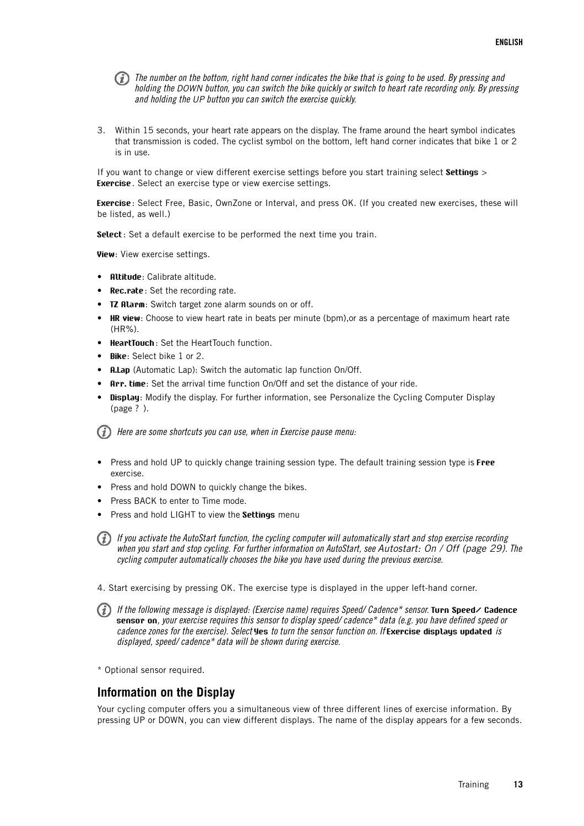The number on the bottom, right hand corner indicates the bike that is going to be used. By pressing and holding the DOWN button, you can switch the bike quickly or switch to heart rate recording only. By pressing and holding the UP button you can switch the exercise quickly.

3. Within 15 seconds, your heart rate appears on the display. The frame around the heart symbol indicates that transmission is coded. The cyclist symbol on the bottom, left hand corner indicates that bike 1 or 2 is in use.

If you want to change or view different exercise settings before you start training select **Settings** > **Exercise**. Select an exercise type or view exercise settings.

**Exercise**: Select Free, Basic, OwnZone or Interval, and press OK. (If you created new exercises, these will be listed, as well.)

**Select**: Set a default exercise to be performed the next time you train.

**View**: View exercise settings.

- **Altitude**: Calibrate altitude.
- **Rec.rate**: Set the recording rate.
- **TZ Alarm:** Switch target zone alarm sounds on or off.
- **HR view**: Choose to view heart rate in beats per minute (bpm),or as a percentage of maximum heart rate (HR%).
- **HeartTouch**: Set the HeartTouch function.
- **Bike**: Select bike 1 or 2.
- **A.Lap** (Automatic Lap): Switch the automatic lap function On/Off.
- **Arr. time**: Set the arrival time function On/Off and set the distance of your ride.
- **Display**: Modify the display. For further information, see [Personalize the Cycling Computer Display](#page-33-0) (page ? [\)](#page-33-0).

 $(i)$  Here are some shortcuts you can use, when in Exercise pause menu:

- Press and hold UP to quickly change training session type. The default training session type is **Free** exercise.
- Press and hold DOWN to quickly change the bikes.
- Press BACK to enter to Time mode.
- Press and hold LIGHT to view the **Settings** menu

 $(i)$  If you activate the AutoStart function, the cycling computer will automatically start and stop exercise recording when you start and stop cycling. For further information on AutoStart, see [Autostart: On / Off \(page](#page-28-4) 29). The cycling computer automatically chooses the bike you have used during the previous exercise.

4. Start exercising by pressing OK. The exercise type is displayed in the upper left-hand corner.

If the following message is displayed: (Exercise name) requires Speed/ Cadence\* sensor. **Turn Speed/ Cadence sensor on**, your exercise requires this sensor to display speed/ cadence\* data (e.g. you have defined speed or cadence zones for the exercise). Select **Yes** to turn the sensor function on. If **Exercise displays updated** is displayed, speed/ cadence\* data will be shown during exercise.

<span id="page-12-0"></span>\* Optional sensor required.

### **Information on the Display**

Your cycling computer offers you a simultaneous view of three different lines of exercise information. By pressing UP or DOWN, you can view different displays. The name of the display appears for a few seconds.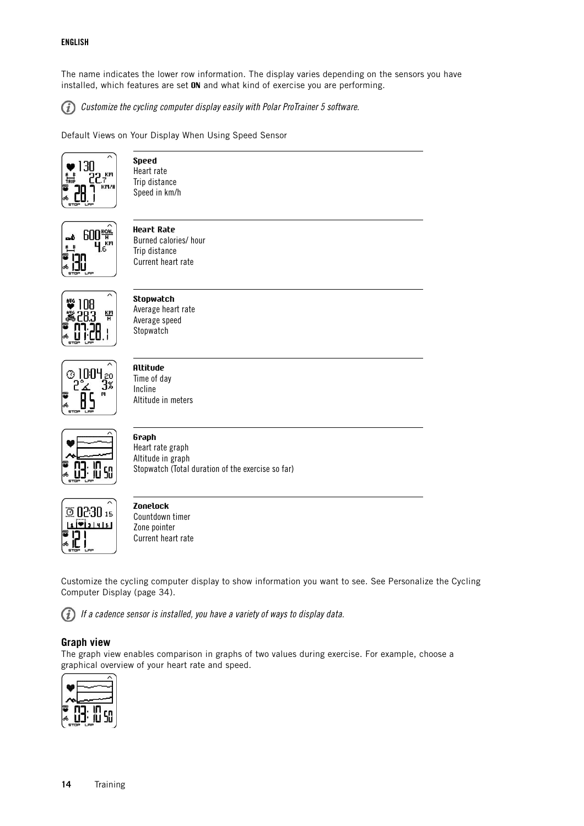### **ENGLISH**

The name indicates the lower row information. The display varies depending on the sensors you have installed, which features are set **ON** and what kind of exercise you are performing.

G) Customize the cycling computer display easily with Polar ProTrainer 5 software.

Default Views on Your Display When Using Speed Sensor



**Speed** Heart rate Trip distance Speed in km/h



**Heart Rate** Burned calories/ hour Trip distance Current heart rate



**Stopwatch** Average heart rate Average speed **Stopwatch** 



**Altitude** Time of day Incline Altitude in meters



**Graph** Heart rate graph Altitude in graph Stopwatch (Total duration of the exercise so far)



### **Zonelock** Countdown timer Zone pointer Current heart rate

Customize the cycling computer display to show information you want to see. See [Personalize the Cycling](#page-33-0) [Computer Display \(page](#page-33-0) 34).

G) If a cadence sensor is installed, you have a variety of ways to display data.

### <span id="page-13-0"></span>**Graph view**

The graph view enables comparison in graphs of two values during exercise. For example, choose a graphical overview of your heart rate and speed.

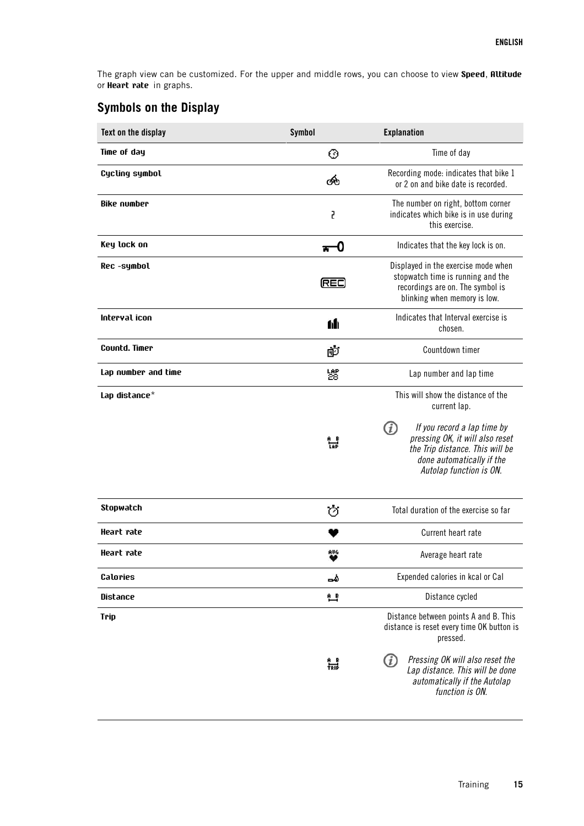The graph view can be customized. For the upper and middle rows, you can choose to view **Speed**, **Altitude** or **Heart rate** in graphs.

# <span id="page-14-0"></span>**Symbols on the Display**

| Text on the display | <b>Symbol</b>  | <b>Explanation</b>                                                                                                                                               |  |
|---------------------|----------------|------------------------------------------------------------------------------------------------------------------------------------------------------------------|--|
| Time of day         | ⊛              | Time of day                                                                                                                                                      |  |
| Cycling symbol      | ණි             | Recording mode: indicates that bike 1<br>or 2 on and bike date is recorded.                                                                                      |  |
| <b>Bike number</b>  | 5              | The number on right, bottom corner<br>indicates which bike is in use during<br>this exercise.                                                                    |  |
| Key lock on         | $\mathbf{H}^0$ | Indicates that the key lock is on.                                                                                                                               |  |
| Rec -symbol         | (REC)          | Displayed in the exercise mode when<br>stopwatch time is running and the<br>recordings are on. The symbol is<br>blinking when memory is low.                     |  |
| Interval icon       | 6h             | Indicates that Interval exercise is<br>chosen.                                                                                                                   |  |
| Countd. Timer       | 匝              | Countdown timer                                                                                                                                                  |  |
| Lap number and time | 썛              | Lap number and lap time                                                                                                                                          |  |
| Lap distance*       |                | This will show the distance of the<br>current lap.                                                                                                               |  |
|                     |                | (i)<br>If you record a lap time by<br>pressing OK, it will also reset<br>the Trip distance. This will be<br>done automatically if the<br>Autolap function is ON. |  |
| Stopwatch           | Ó              | Total duration of the exercise so far                                                                                                                            |  |
| Heart rate          |                | Current heart rate                                                                                                                                               |  |
| Heart rate          | AUG            | Average heart rate                                                                                                                                               |  |
| Calories            | ھە             | Expended calories in kcal or Cal                                                                                                                                 |  |
| Distance            | 트              | Distance cycled                                                                                                                                                  |  |
| Trip                |                | Distance between points A and B. This<br>distance is reset every time OK button is<br>pressed.                                                                   |  |
|                     | 늛              | Pressing OK will also reset the<br>(i)<br>Lap distance. This will be done<br>automatically if the Autolap<br>function is ON.                                     |  |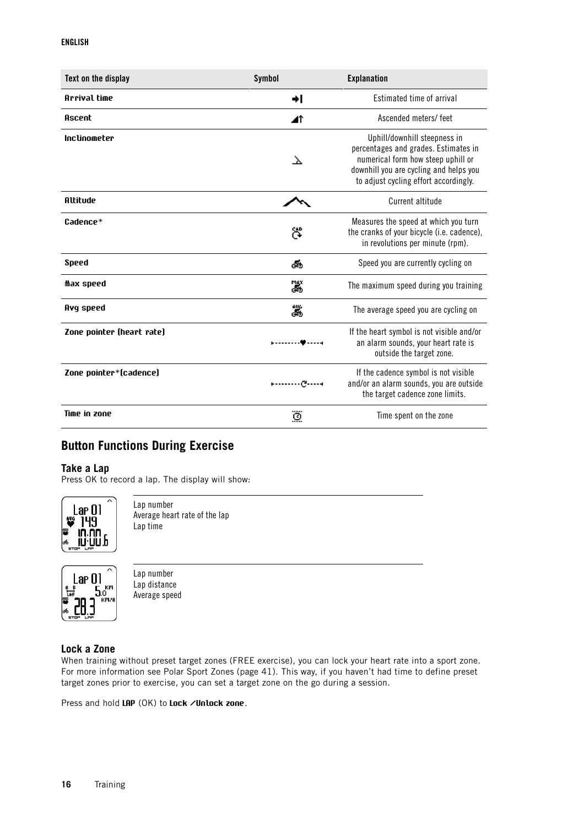### **ENGLISH**

| Text on the display       | <b>Symbol</b> | <b>Explanation</b>                                                                                                                                                                            |
|---------------------------|---------------|-----------------------------------------------------------------------------------------------------------------------------------------------------------------------------------------------|
| Arrival time              | ا⇒            | Estimated time of arrival                                                                                                                                                                     |
| Ascent                    | ◢↑            | Ascended meters/feet                                                                                                                                                                          |
| Inclinometer              | $\lambda$     | Uphill/downhill steepness in<br>percentages and grades. Estimates in<br>numerical form how steep uphill or<br>downhill you are cycling and helps you<br>to adjust cycling effort accordingly. |
| Altitude                  |               | Current altitude                                                                                                                                                                              |
| Cadence*                  | ඎ             | Measures the speed at which you turn<br>the cranks of your bicycle (i.e. cadence),<br>in revolutions per minute (rpm).                                                                        |
| Speed                     | త             | Speed you are currently cycling on                                                                                                                                                            |
| Max speed                 | ä.            | The maximum speed during you training                                                                                                                                                         |
| Avq speed                 | 諯             | The average speed you are cycling on                                                                                                                                                          |
| Zone pointer (heart rate) |               | If the heart symbol is not visible and/or<br>an alarm sounds, your heart rate is<br>outside the target zone.                                                                                  |
| Zone pointer*(cadence)    | - - 0         | If the cadence symbol is not visible<br>and/or an alarm sounds, you are outside<br>the target cadence zone limits.                                                                            |
| Time in zone              | ۊ             | Time spent on the zone                                                                                                                                                                        |

# <span id="page-15-0"></span>**Button Functions During Exercise**

### <span id="page-15-1"></span>**Take a Lap**

Press OK to record a lap. The display will show:



Lap number Average heart rate of the lap Lap time



Lap number Lap distance Average speed

### <span id="page-15-2"></span>**Lock a Zone**

When training without preset target zones (FREE exercise), you can lock your heart rate into a sport zone. For more information see [Polar Sport Zones \(page](#page-40-1) 41). This way, if you haven't had time to define preset target zones prior to exercise, you can set a target zone on the go during a session.

Press and hold **LAP** (OK) to **Lock /Unlock zone**.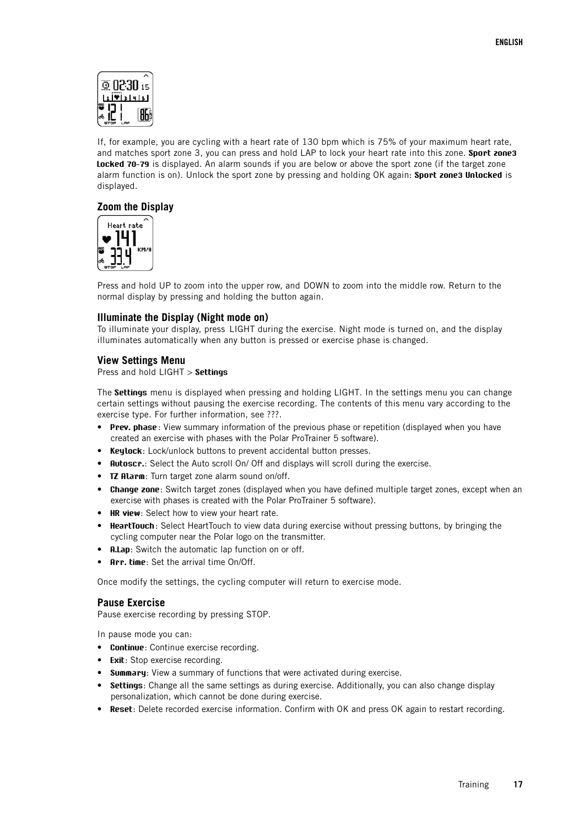

If, for example, you are cycling with a heart rate of 130 bpm which is 75% of your maximum heart rate, and matches sport zone 3, you can press and hold LAP to lock your heart rate into this zone. **Sport zone3 Locked 70-79** is displayed. An alarm sounds if you are below or above the sport zone (if the target zone alarm function is on). Unlock the sport zone by pressing and holding OK again: **Sport zone3 Unlocked** is displayed.

### <span id="page-16-0"></span>**Zoom the Display**



Press and hold UP to zoom into the upper row, and DOWN to zoom into the middle row. Return to the normal display by pressing and holding the button again.

### <span id="page-16-1"></span>**Illuminate the Display (Night mode on)**

To illuminate your display, press LIGHT during the exercise. Night mode is turned on, and the display illuminates automatically when any button is pressed or exercise phase is changed.

### <span id="page-16-2"></span>**View Settings Menu**

### Press and hold LIGHT > **Settings**

The **Settings** menu is displayed when pressing and holding LIGHT. In the settings menu you can change certain settings without pausing the exercise recording. The contents of this menu vary according to the exercise type. For further information, see ???.

- **Prev. phase**: View summary information of the previous phase or repetition (displayed when you have created an exercise with phases with the Polar ProTrainer 5 software).
- **Keylock**: Lock/unlock buttons to prevent accidental button presses.
- **Autoscr.**: Select the Auto scroll On/ Off and displays will scroll during the exercise.
- **TZ Alarm**: Turn target zone alarm sound on/off.
- **Change zone**: Switch target zones (displayed when you have defined multiple target zones, except when an exercise with phases is created with the Polar ProTrainer 5 software).
- **HR view:** Select how to view your heart rate.
- **HeartTouch**: Select HeartTouch to view data during exercise without pressing buttons, by bringing the cycling computer near the Polar logo on the transmitter.
- **A.Lap**: Switch the automatic lap function on or off.
- **Arr. time**: Set the arrival time On/Off.

<span id="page-16-3"></span>Once modify the settings, the cycling computer will return to exercise mode.

### **Pause Exercise**

Pause exercise recording by pressing STOP.

In pause mode you can:

- **Continue**: Continue exercise recording.
- **Exit:** Stop exercise recording.
- **Summary**: View a summary of functions that were activated during exercise.
- **Settings**: Change all the same settings as during exercise. Additionally, you can also change display personalization, which cannot be done during exercise.
- **Reset**: Delete recorded exercise information. Confirm with OK and press OK again to restart recording.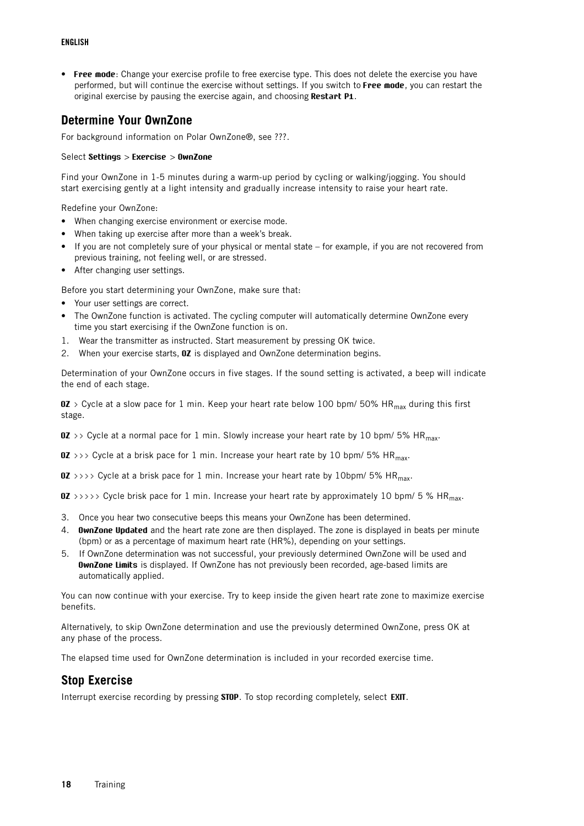### **ENGLISH**

• **Free mode**: Change your exercise profile to free exercise type. This does not delete the exercise you have performed, but will continue the exercise without settings. If you switch to **Free mode**, you can restart the original exercise by pausing the exercise again, and choosing **Restart P1**.

## <span id="page-17-0"></span>**Determine Your OwnZone**

For background information on Polar OwnZone®, see ???.

### Select **Settings** > **Exercise** > **OwnZone**

Find your OwnZone in 1-5 minutes during a warm-up period by cycling or walking/jogging. You should start exercising gently at a light intensity and gradually increase intensity to raise your heart rate.

Redefine your OwnZone:

- When changing exercise environment or exercise mode.
- When taking up exercise after more than a week's break.
- If you are not completely sure of your physical or mental state for example, if you are not recovered from previous training, not feeling well, or are stressed.
- After changing user settings.

Before you start determining your OwnZone, make sure that:

- Your user settings are correct.
- The OwnZone function is activated. The cycling computer will automatically determine OwnZone every time you start exercising if the OwnZone function is on.
- 1. Wear the transmitter as instructed. Start measurement by pressing OK twice.
- 2. When your exercise starts, **OZ** is displayed and OwnZone determination begins.

Determination of your OwnZone occurs in five stages. If the sound setting is activated, a beep will indicate the end of each stage.

**OZ** > Cycle at a slow pace for 1 min. Keep your heart rate below 100 bpm/ 50% HR<sub>max</sub> during this first stage.

**OZ** >> Cycle at a normal pace for 1 min. Slowly increase your heart rate by 10 bpm/ 5% HR<sub>max</sub>.

 $\overline{OZ}$  >>> Cycle at a brisk pace for 1 min. Increase your heart rate by 10 bpm/ 5% HR<sub>max</sub>.

**OZ** >>>> Cycle at a brisk pace for 1 min. Increase your heart rate by 10bpm/ 5% HR<sub>max</sub>.

**OZ** >>>>> Cycle brisk pace for 1 min. Increase your heart rate by approximately 10 bpm/ 5 % HR<sub>max</sub>.

- 3. Once you hear two consecutive beeps this means your OwnZone has been determined.
- 4. **OwnZone Updated** and the heart rate zone are then displayed. The zone is displayed in beats per minute (bpm) or as a percentage of maximum heart rate (HR%), depending on your settings.
- 5. If OwnZone determination was not successful, your previously determined OwnZone will be used and **OwnZone Limits** is displayed. If OwnZone has not previously been recorded, age-based limits are automatically applied.

You can now continue with your exercise. Try to keep inside the given heart rate zone to maximize exercise benefits.

Alternatively, to skip OwnZone determination and use the previously determined OwnZone, press OK at any phase of the process.

<span id="page-17-1"></span>The elapsed time used for OwnZone determination is included in your recorded exercise time.

## **Stop Exercise**

Interrupt exercise recording by pressing **STOP**. To stop recording completely, select **EXIT**.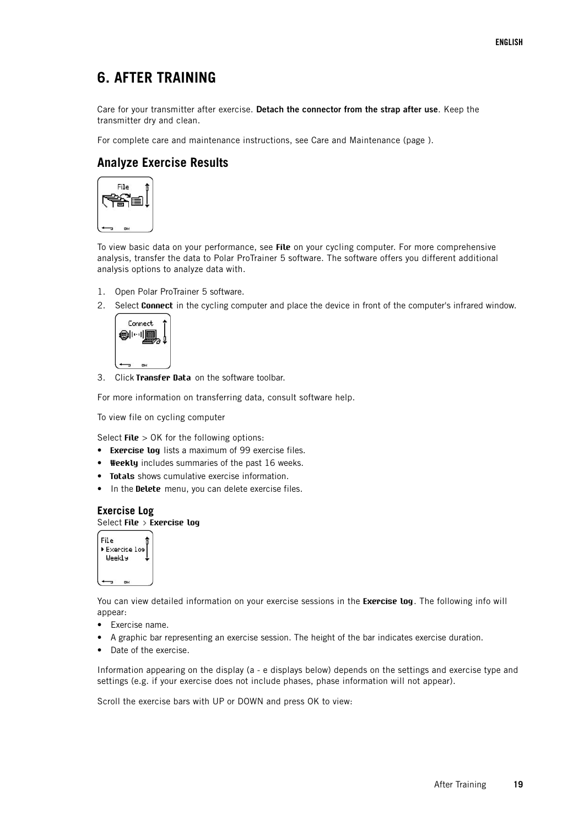# <span id="page-18-0"></span>**6. AFTER TRAINING**

Care for your transmitter after exercise. **Detach the connector from the strap after use**. Keep the transmitter dry and clean.

<span id="page-18-1"></span>For complete care and maintenance instructions, see Care and Maintenance (page ).

# **Analyze Exercise Results**



To view basic data on your performance, see **File** on your cycling computer. For more comprehensive analysis, transfer the data to Polar ProTrainer 5 software. The software offers you different additional analysis options to analyze data with.

- 1. Open Polar ProTrainer 5 software.
- 2. Select **Connect** in the cycling computer and place the device in front of the computer's infrared window.



3. Click **Transfer Data** on the software toolbar.

For more information on transferring data, consult software help.

To view file on cycling computer

Select **File** > OK for the following options:

- **Exercise log** lists a maximum of 99 exercise files.
- **Weekly** includes summaries of the past 16 weeks.
- **Totals** shows cumulative exercise information.
- <span id="page-18-2"></span>• In the **Delete** menu, you can delete exercise files.

### **Exercise Log** Select **File > Exercise log**



You can view detailed information on your exercise sessions in the **Exercise log**. The following info will appear:

- Exercise name.
- A graphic bar representing an exercise session. The height of the bar indicates exercise duration.
- Date of the exercise.

Information appearing on the display (a - e displays below) depends on the settings and exercise type and settings (e.g. if your exercise does not include phases, phase information will not appear).

Scroll the exercise bars with UP or DOWN and press OK to view: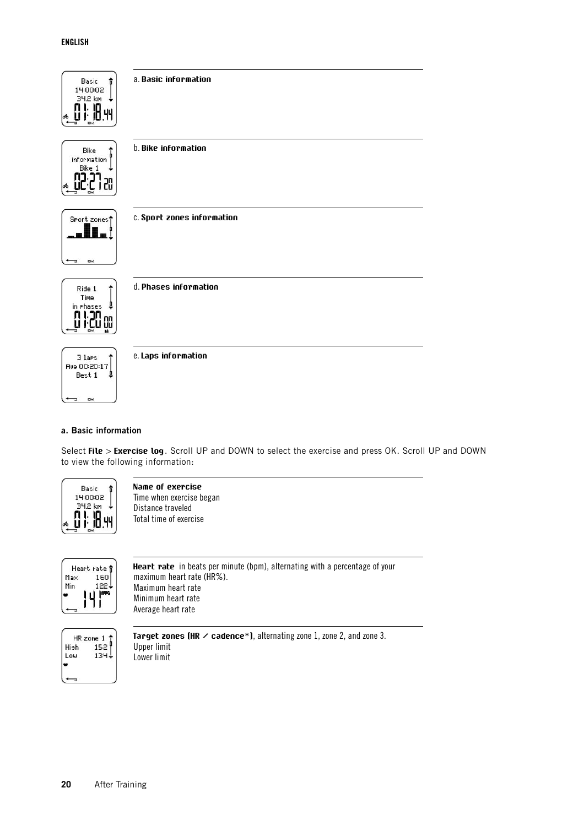

Select **File** > **Exercise log**. Scroll UP and DOWN to select the exercise and press OK. Scroll UP and DOWN to view the following information:



**Name of exercise** Time when exercise began Distance traveled Total time of exercise



**Heart rate** in beats per minute (bpm), alternating with a percentage of your maximum heart rate (HR%). Maximum heart rate Minimum heart rate Average heart rate



**Target zones (HR / cadence\*)**, alternating zone 1, zone 2, and zone 3. Upper limit Lower limit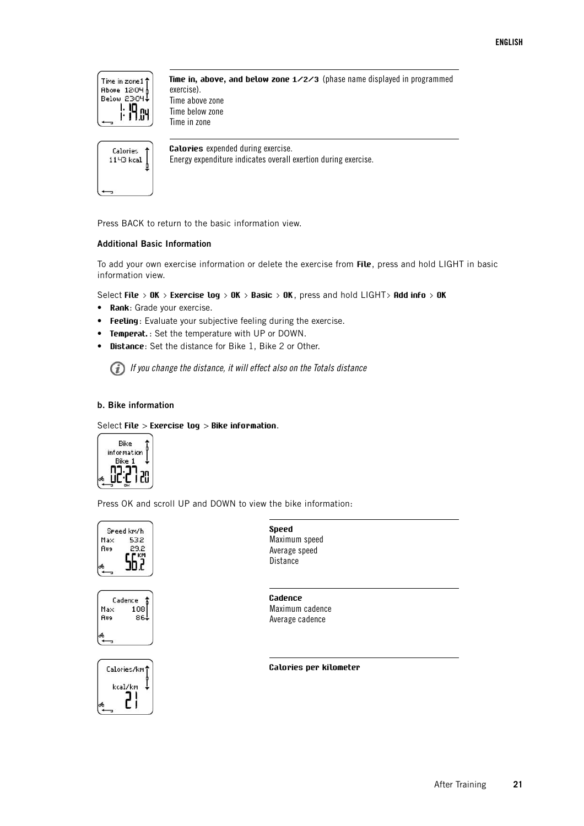

**Time in, above, and below zone 1/2/3** (phase name displayed in programmed exercise). Time above zone Time below zone Time in zone



**Calories** expended during exercise. Energy expenditure indicates overall exertion during exercise.

Press BACK to return to the basic information view.

### **Additional Basic Information**

To add your own exercise information or delete the exercise from **File**, press and hold LIGHT in basic information view.

Select **File > OK > Exercise log > OK > Basic > OK**, press and hold LIGHT**> Add info > OK**

- **Rank**: Grade your exercise.
- **Feeling**: Evaluate your subjective feeling during the exercise.
- **Temperat.** : Set the temperature with UP or DOWN.
- **Distance**: Set the distance for Bike 1, Bike 2 or Other.

 $(i)$  If you change the distance, it will effect also on the Totals distance

### **b. Bike information**

Select **File** > **Exercise log** > **Bike information**.



Press OK and scroll UP and DOWN to view the bike information:







**Speed** Maximum speed Average speed **Distance** 

**Cadence** Maximum cadence Average cadence

**Calories per kilometer**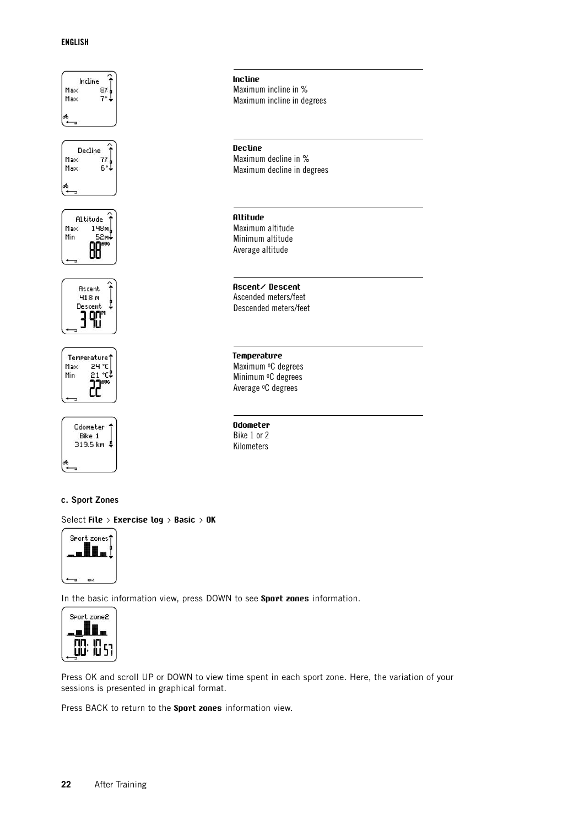### **ENGLISH**



### **c. Sport Zones**

Select **File > Exercise log > Basic > OK**



In the basic information view, press DOWN to see **Sport zones** information.



Press OK and scroll UP or DOWN to view time spent in each sport zone. Here, the variation of your sessions is presented in graphical format.

Press BACK to return to the **Sport zones** information view.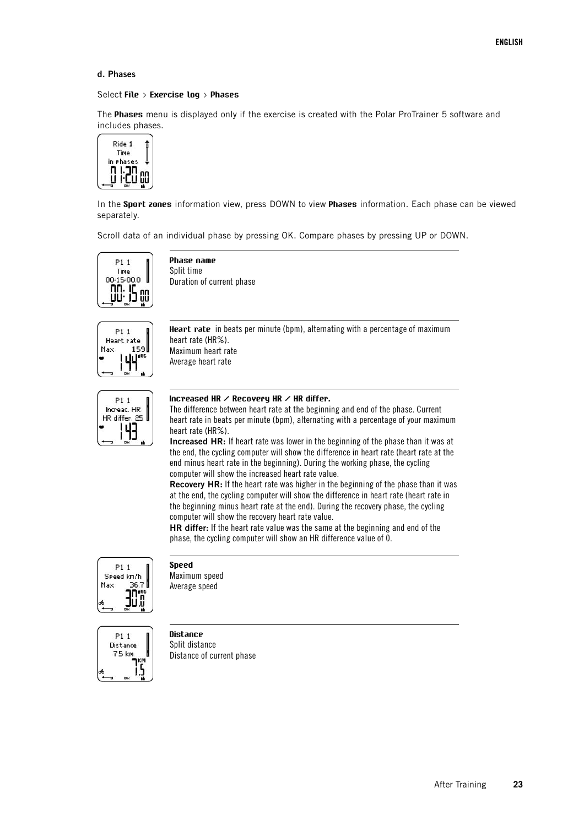### **d. Phases**

#### Select **File > Exercise log > Phases**

The **Phases** menu is displayed only if the exercise is created with the Polar ProTrainer 5 software and includes phases.



In the **Sport zones** information view, press DOWN to view **Phases** information. Each phase can be viewed separately.

Scroll data of an individual phase by pressing OK. Compare phases by pressing UP or DOWN.



**Phase name** Split time Duration of current phase



**Heart rate** in beats per minute (bpm), alternating with a percentage of maximum heart rate (HR%). Maximum heart rate Average heart rate



#### **Increased HR / Recovery HR / HR differ.**

The difference between heart rate at the beginning and end of the phase. Current heart rate in beats per minute (bpm), alternating with a percentage of your maximum heart rate (HR%).

**Increased HR:** If heart rate was lower in the beginning of the phase than it was at the end, the cycling computer will show the difference in heart rate (heart rate at the end minus heart rate in the beginning). During the working phase, the cycling computer will show the increased heart rate value.

**Recovery HR:** If the heart rate was higher in the beginning of the phase than it was at the end, the cycling computer will show the difference in heart rate (heart rate in the beginning minus heart rate at the end). During the recovery phase, the cycling computer will show the recovery heart rate value.

**HR differ:** If the heart rate value was the same at the beginning and end of the phase, the cycling computer will show an HR difference value of 0.



**Speed**

Maximum speed Average speed



**Distance** Split distance Distance of current phase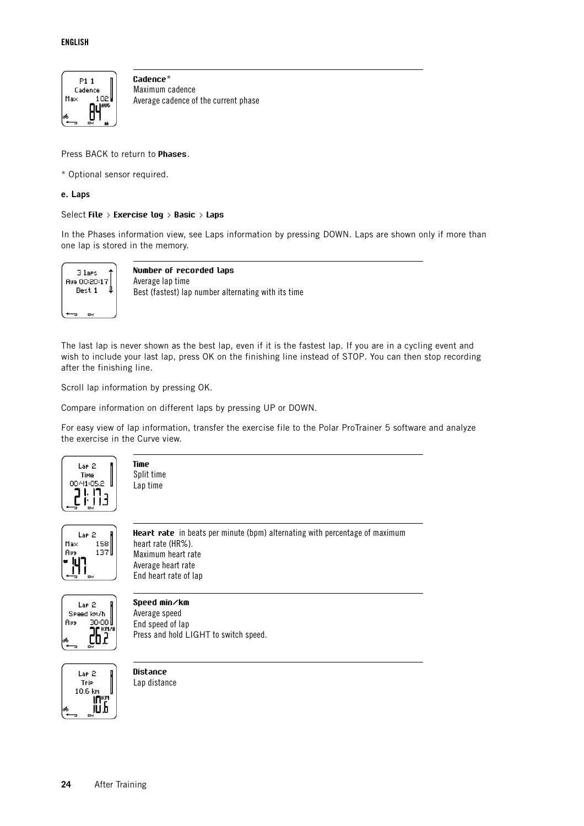

**Cadence**\* Maximum cadence Average cadence of the current phase

Press BACK to return to **Phases**.

\* Optional sensor required.

### **e. Laps**

### Select **File > Exercise log > Basic > Laps**

In the Phases information view, see Laps information by pressing DOWN. Laps are shown only if more than one lap is stored in the memory.



**Number of recorded laps** Average lap time Best (fastest) lap number alternating with its time

The last lap is never shown as the best lap, even if it is the fastest lap. If you are in a cycling event and wish to include your last lap, press OK on the finishing line instead of STOP. You can then stop recording after the finishing line.

Scroll lap information by pressing OK.

Compare information on different laps by pressing UP or DOWN.

For easy view of lap information, transfer the exercise file to the Polar ProTrainer 5 software and analyze the exercise in the Curve view.



**Time** Split time Lap time



**Heart rate** in beats per minute (bpm) alternating with percentage of maximum heart rate (HR%). Maximum heart rate Average heart rate End heart rate of lap



**Speed min/km** Average speed End speed of lap Press and hold LIGHT to switch speed.



**Distance** Lap distance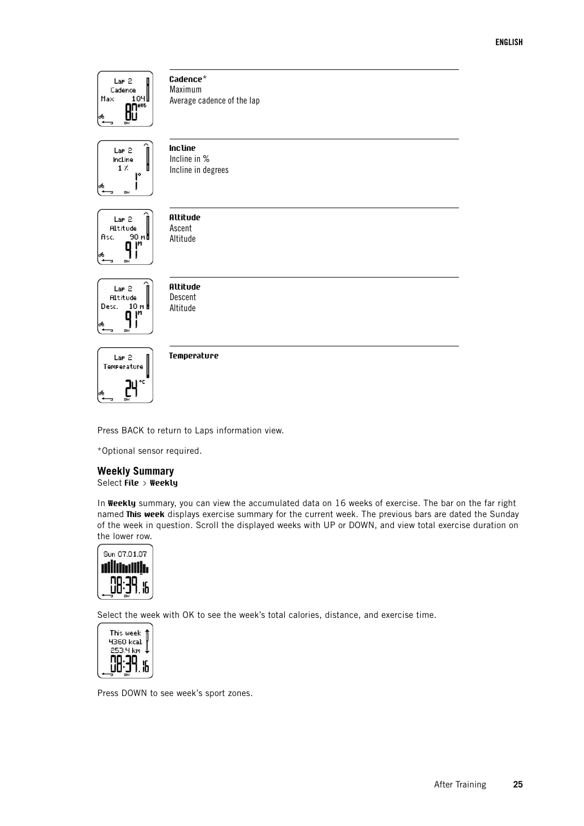

**Cadence**\* Maximum Average cadence of the lap



**Incline** Incline in % Incline in degrees



**Altitude** Ascent Altitude



**Altitude** Descent Altitude



**Temperature**

Press BACK to return to Laps information view.

<span id="page-24-0"></span>\*Optional sensor required.

### **Weekly Summary** Select **File > Weekly**

In **Weekly** summary, you can view the accumulated data on 16 weeks of exercise. The bar on the far right named **This week** displays exercise summary for the current week. The previous bars are dated the Sunday of the week in question. Scroll the displayed weeks with UP or DOWN, and view total exercise duration on the lower row.



Select the week with OK to see the week's total calories, distance, and exercise time.



Press DOWN to see week's sport zones.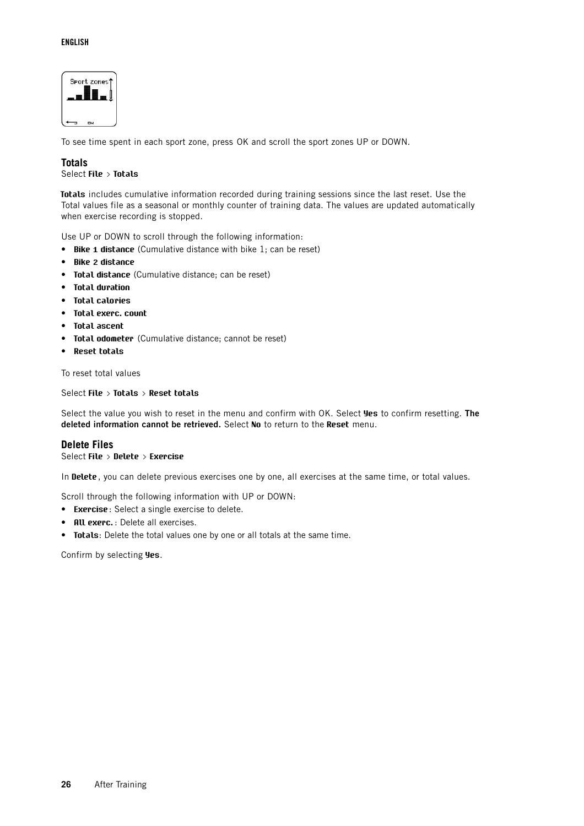### **ENGLISH**



<span id="page-25-0"></span>To see time spent in each sport zone, press OK and scroll the sport zones UP or DOWN.

### **Totals**

Select **File > Totals**

**Totals** includes cumulative information recorded during training sessions since the last reset. Use the Total values file as a seasonal or monthly counter of training data. The values are updated automatically when exercise recording is stopped.

Use UP or DOWN to scroll through the following information:

- **Bike 1 distance** (Cumulative distance with bike 1; can be reset)
- **Bike 2 distance**
- **Total distance** (Cumulative distance; can be reset)
- **Total duration**
- **Total calories**
- **Total exerc. count**
- **Total ascent**
- **Total odometer** (Cumulative distance; cannot be reset)
- **Reset totals**

To reset total values

### Select **File > Totals > Reset totals**

Select the value you wish to reset in the menu and confirm with OK. Select **Yes** to confirm resetting. **The deleted information cannot be retrieved.** Select **No** to return to the **Reset** menu.

### <span id="page-25-1"></span>**Delete Files**

### Select **File > Delete > Exercise**

In **Delete**, you can delete previous exercises one by one, all exercises at the same time, or total values.

Scroll through the following information with UP or DOWN:

- **Exercise**: Select a single exercise to delete.
- **All exerc.** : Delete all exercises.
- **Totals**: Delete the total values one by one or all totals at the same time.

Confirm by selecting **Yes**.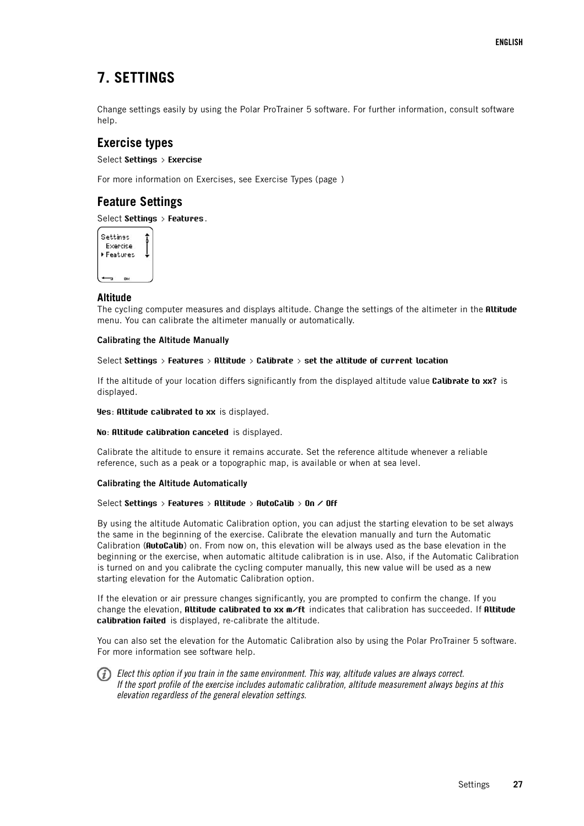# <span id="page-26-0"></span>**7. SETTINGS**

Change settings easily by using the Polar ProTrainer 5 software. For further information, consult software help.

# <span id="page-26-1"></span>**Exercise types**

Select **Settings > Exercise**

<span id="page-26-2"></span>For more information on Exercises, see Exercise Types (page )

## **Feature Settings**

Select **Settings > Features**.

| Settinss |          |  |
|----------|----------|--|
|          | Exercise |  |
|          | Features |  |
|          |          |  |
|          |          |  |

### <span id="page-26-3"></span>**Altitude**

The cycling computer measures and displays altitude. Change the settings of the altimeter in the **Altitude** menu. You can calibrate the altimeter manually or automatically.

### **Calibrating the Altitude Manually**

### Select **Settings > Features > Altitude > Calibrate > set the altitude of current location**

If the altitude of your location differs significantly from the displayed altitude value **Calibrate to xx?** is displayed.

**Yes**: **Altitude calibrated to xx** is displayed.

### **No**: **Altitude calibration canceled** is displayed.

Calibrate the altitude to ensure it remains accurate. Set the reference altitude whenever a reliable reference, such as a peak or a topographic map, is available or when at sea level.

### **Calibrating the Altitude Automatically**

### Select **Settings > Features > Altitude > AutoCalib > On / Off**

By using the altitude Automatic Calibration option, you can adjust the starting elevation to be set always the same in the beginning of the exercise. Calibrate the elevation manually and turn the Automatic Calibration (**AutoCalib**) on. From now on, this elevation will be always used as the base elevation in the beginning or the exercise, when automatic altitude calibration is in use. Also, if the Automatic Calibration is turned on and you calibrate the cycling computer manually, this new value will be used as a new starting elevation for the Automatic Calibration option.

If the elevation or air pressure changes significantly, you are prompted to confirm the change. If you change the elevation, **Altitude calibrated to xx m/ft** indicates that calibration has succeeded. If **Altitude calibration failed** is displayed, re-calibrate the altitude.

You can also set the elevation for the Automatic Calibration also by using the Polar ProTrainer 5 software. For more information see software help.

 $\binom{a}{k}$  Elect this option if you train in the same environment. This way, altitude values are always correct. If the sport profile of the exercise includes automatic calibration, altitude measurement always begins at this elevation regardless of the general elevation settings.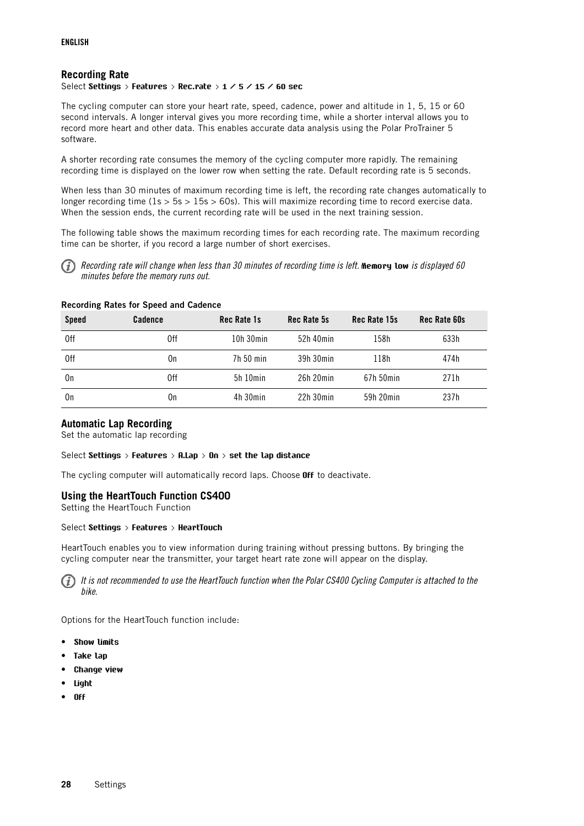### <span id="page-27-0"></span>**Recording Rate**

Select **Settings > Features > Rec.rate > 1 / 5 / 15 / 60 sec**

The cycling computer can store your heart rate, speed, cadence, power and altitude in 1, 5, 15 or 60 second intervals. A longer interval gives you more recording time, while a shorter interval allows you to record more heart and other data. This enables accurate data analysis using the Polar ProTrainer 5 software.

A shorter recording rate consumes the memory of the cycling computer more rapidly. The remaining recording time is displayed on the lower row when setting the rate. Default recording rate is 5 seconds.

When less than 30 minutes of maximum recording time is left, the recording rate changes automatically to longer recording time ( $1s > 5s > 15s > 60s$ ). This will maximize recording time to record exercise data. When the session ends, the current recording rate will be used in the next training session.

The following table shows the maximum recording times for each recording rate. The maximum recording time can be shorter, if you record a large number of short exercises.



Recording rate will change when less than 30 minutes of recording time is left. **Memory low** is displayed 60 minutes before the memory runs out.

### **Recording Rates for Speed and Cadence**

| <b>Speed</b> | Cadence | <b>Rec Rate 1s</b> | Rec Rate 5s    | Rec Rate 15s | <b>Rec Rate 60s</b> |
|--------------|---------|--------------------|----------------|--------------|---------------------|
| 0ff          | 0ff     | $10h$ 30 $min$     | 52h 40min      | 158h         | 633h                |
| 0ff          | 0n      | 7h 50 min          | 39h 30min      | 118h         | 474h                |
| 0n           | 0ff     | 5h10min            | $26h$ $20min$  | 67h 50min    | 271h                |
| 0n           | 0n      | $4h$ 30 $min$      | $22h$ 30 $min$ | 59h 20min    | 237h                |

### <span id="page-27-1"></span>**Automatic Lap Recording**

Set the automatic lap recording

### Select **Settings > Features > A.Lap > On > set the lap distance**

<span id="page-27-2"></span>The cycling computer will automatically record laps. Choose **Off** to deactivate.

### **Using the HeartTouch Function CS400**

Setting the HeartTouch Function

### Select **Settings > Features > HeartTouch**

HeartTouch enables you to view information during training without pressing buttons. By bringing the cycling computer near the transmitter, your target heart rate zone will appear on the display.

It is not recommended to use the HeartTouch function when the Polar CS400 Cycling Computer is attached to the bike.

Options for the HeartTouch function include:

- **Show limits**
- **Take lap**
- **Change view**
- **Light**
- **Off**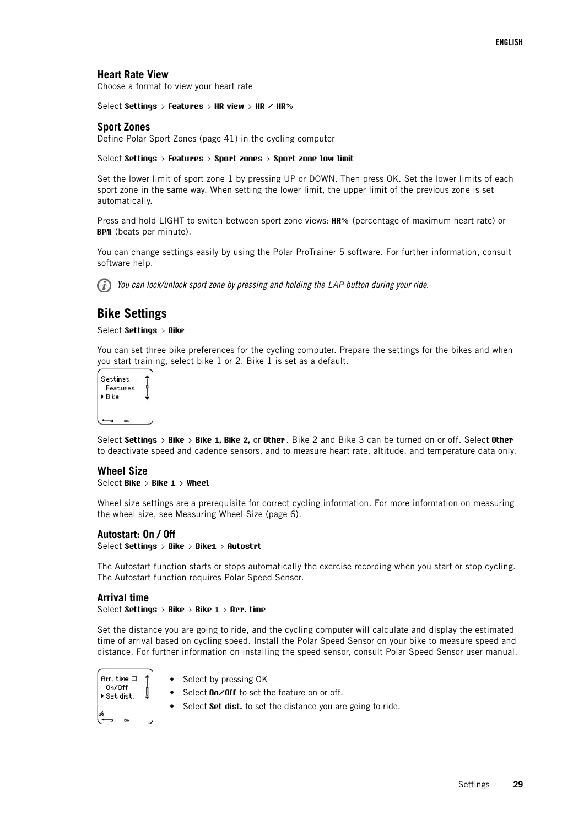### <span id="page-28-0"></span>**Heart Rate View**

Choose a format to view your heart rate

<span id="page-28-1"></span>Select **Settings > Features > HR view > HR / HR%**

### **Sport Zones**

Define [Polar Sport Zones \(page](#page-40-1) 41) in the cycling computer

#### Select **Settings > Features > Sport zones > Sport zone low limit**

Set the lower limit of sport zone 1 by pressing UP or DOWN. Then press OK. Set the lower limits of each sport zone in the same way. When setting the lower limit, the upper limit of the previous zone is set automatically.

Press and hold LIGHT to switch between sport zone views: **HR%** (percentage of maximum heart rate) or **BPM** (beats per minute).

You can change settings easily by using the Polar ProTrainer 5 software. For further information, consult software help.

You can lock/unlock sport zone by pressing and holding the LAP button during your ride.

### <span id="page-28-2"></span>**Bike Settings**

### Select **Settings > Bike**

You can set three bike preferences for the cycling computer. Prepare the settings for the bikes and when you start training, select bike 1 or 2. Bike 1 is set as a default.

| <b>Settinss</b><br>Features |  |  |
|-----------------------------|--|--|
| ▶ Bike                      |  |  |
|                             |  |  |

Select **Settings > Bike > Bike 1, Bike 2,** or **Other**. Bike 2 and Bike 3 can be turned on or off. Select **Other** to deactivate speed and cadence sensors, and to measure heart rate, altitude, and temperature data only.

### <span id="page-28-3"></span>**Wheel Size**

Select **Bike > Bike 1 > Wheel**

Wheel size settings are a prerequisite for correct cycling information. For more information on measuring the wheel size, see [Measuring Wheel Size \(page](#page-5-1) 6).

#### <span id="page-28-4"></span>**Autostart: On / Off**

Select **Settings > Bike > Bike1 > Autostrt**

The Autostart function starts or stops automatically the exercise recording when you start or stop cycling. The Autostart function requires Polar Speed Sensor.

### <span id="page-28-5"></span>**Arrival time**

Select **Settings > Bike > Bike 1 > Arr. time**

Set the distance you are going to ride, and the cycling computer will calculate and display the estimated time of arrival based on cycling speed. Install the Polar Speed Sensor on your bike to measure speed and distance. For further information on installing the speed sensor, consult Polar Speed Sensor user manual.

Bre time D  $On/Off$ Set dist.  $\overline{a}$ 

- Select by pressing OK
- Select **On/Off** to set the feature on or off.
- Select **Set dist.** to set the distance you are going to ride.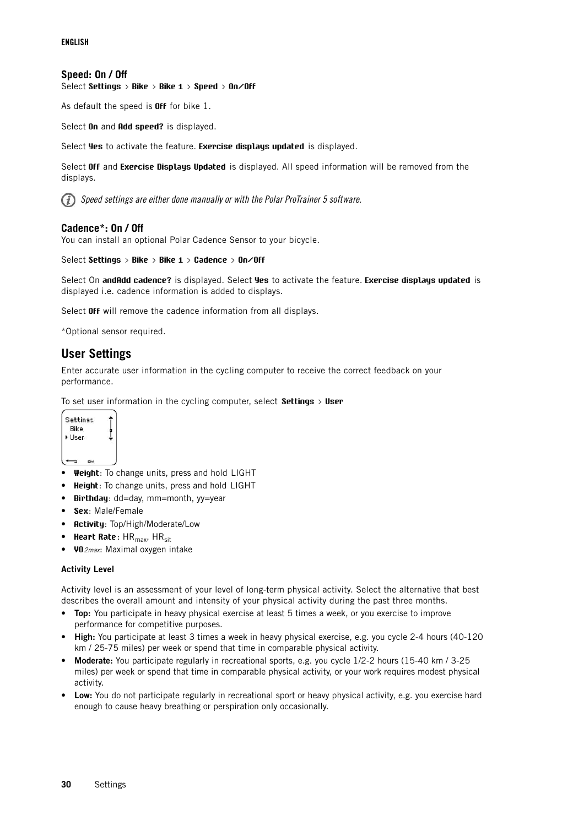### <span id="page-29-0"></span>**Speed: On / Off**

Select **Settings > Bike > Bike 1 > Speed > On/Off**

As default the speed is **Off** for bike 1.

Select **On** and **Add speed?** is displayed.

Select **Yes** to activate the feature. **Exercise displays updated** is displayed.

Select **Off** and **Exercise Displays Updated** is displayed. All speed information will be removed from the displays.

Speed settings are either done manually or with the Polar ProTrainer 5 software.

### <span id="page-29-1"></span>**Cadence\*: On / Off**

You can install an optional Polar Cadence Sensor to your bicycle.

Select **Settings > Bike > Bike 1 > Cadence > On/Off**

Select On **andAdd cadence?** is displayed. Select **Yes** to activate the feature. **Exercise displays updated** is displayed i.e. cadence information is added to displays.

Select **Off** will remove the cadence information from all displays.

<span id="page-29-2"></span>\*Optional sensor required.

## **User Settings**

Enter accurate user information in the cycling computer to receive the correct feedback on your performance.

To set user information in the cycling computer, select **Settings > User**



- **Weight**: To change units, press and hold LIGHT
- **Height**: To change units, press and hold LIGHT
- **Birthday**: dd=day, mm=month, yy=year
- **Sex**: Male/Female
- **Activity**: Top/High/Moderate/Low
- **Heart Rate**: HR<sub>max</sub>, HR<sub>sit</sub>
- **VO**2max: Maximal oxygen intake

### **Activity Level**

Activity level is an assessment of your level of long-term physical activity. Select the alternative that best describes the overall amount and intensity of your physical activity during the past three months.

- **Top:** You participate in heavy physical exercise at least 5 times a week, or you exercise to improve performance for competitive purposes.
- **High:** You participate at least 3 times a week in heavy physical exercise, e.g. you cycle 2-4 hours (40-120 km / 25-75 miles) per week or spend that time in comparable physical activity.
- **Moderate:** You participate regularly in recreational sports, e.g. you cycle 1/2-2 hours (15-40 km / 3-25 miles) per week or spend that time in comparable physical activity, or your work requires modest physical activity.
- **Low:** You do not participate regularly in recreational sport or heavy physical activity, e.g. you exercise hard enough to cause heavy breathing or perspiration only occasionally.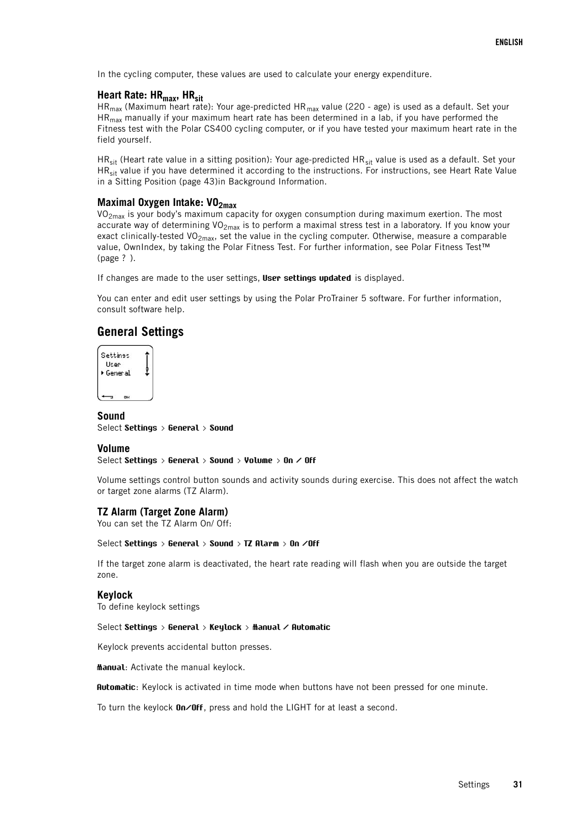<span id="page-30-0"></span>In the cycling computer, these values are used to calculate your energy expenditure.

### **Heart Rate: HRmax, HRsit**

 $HR<sub>max</sub>$  (Maximum heart rate): Your age-predicted  $HR<sub>max</sub>$  value (220 - age) is used as a default. Set your  $HR<sub>max</sub>$  manually if your maximum heart rate has been determined in a lab, if you have performed the Fitness test with the Polar CS400 cycling computer, or if you have tested your maximum heart rate in the field yourself.

HR<sub>sit</sub> (Heart rate value in a sitting position): Your age-predicted HR<sub>sit</sub> value is used as a default. Set your  $HR_{\text{cir}}$  value if you have determined it according to the instructions. For instructions, see [Heart Rate Value](#page-42-0) [in a Sitting Position \(page](#page-42-0) 43)in Background Information.

# <span id="page-30-1"></span>**Maximal Oxygen Intake: VO2max**

 $VO<sub>2max</sub>$  is your body's maximum capacity for oxygen consumption during maximum exertion. The most accurate way of determining VO<sub>2max</sub> is to perform a maximal stress test in a laboratory. If you know your exact clinically-tested VO<sub>2max</sub>, set the value in the cycling computer. Otherwise, measure a comparable value, OwnIndex, by taking the Polar Fitness Test. For further information, see [Polar Fitness Test™](#page-37-1) (page ? [\).](#page-37-1)

If changes are made to the user settings, **User settings updated** is displayed.

You can enter and edit user settings by using the Polar ProTrainer 5 software. For further information, consult software help.

### <span id="page-30-2"></span>**General Settings**



<span id="page-30-3"></span>**Sound** Select **Settings > General > Sound**

### <span id="page-30-4"></span>**Volume**

Select **Settings > General > Sound > Volume > On / Off**

Volume settings control button sounds and activity sounds during exercise. This does not affect the watch or target zone alarms (TZ Alarm).

### <span id="page-30-5"></span>**TZ Alarm (Target Zone Alarm)**

You can set the TZ Alarm On/ Off:

#### Select **Settings > General > Sound > TZ Alarm > On /Off**

If the target zone alarm is deactivated, the heart rate reading will flash when you are outside the target zone.

### <span id="page-30-6"></span>**Keylock**

To define keylock settings

#### Select **Settings > General > Keylock > Manual / Automatic**

Keylock prevents accidental button presses.

**Manual**: Activate the manual keylock.

**Automatic**: Keylock is activated in time mode when buttons have not been pressed for one minute.

To turn the keylock **On/Off**, press and hold the LIGHT for at least a second.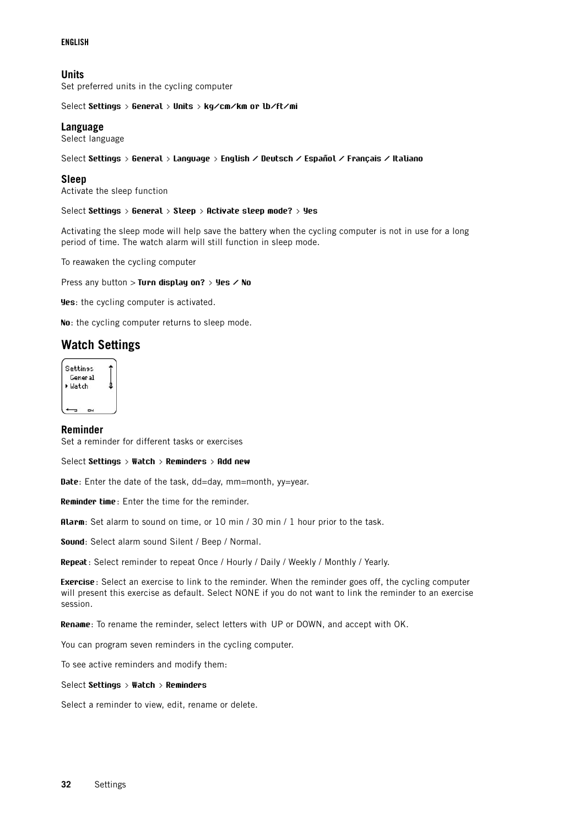### **ENGLISH**

### <span id="page-31-0"></span>**Units**

Set preferred units in the cycling computer

<span id="page-31-1"></span>Select **Settings > General > Units > kg/cm/km or lb/ft/mi**

### **Language**

Select language

#### <span id="page-31-2"></span>Select **Settings > General > Language > English / Deutsch / Español / Français / Italiano**

### **Sleep**

Activate the sleep function

#### Select **Settings > General > Sleep > Activate sleep mode? > Yes**

Activating the sleep mode will help save the battery when the cycling computer is not in use for a long period of time. The watch alarm will still function in sleep mode.

To reawaken the cycling computer

Press any button > **Turn display on? > Yes / No**

**Yes**: the cycling computer is activated.

<span id="page-31-3"></span>**No**: the cycling computer returns to sleep mode.

### **Watch Settings**

| <b>Settinss</b><br>General |  |
|----------------------------|--|
| ▶ Watch                    |  |
|                            |  |

### <span id="page-31-4"></span>**Reminder**

Set a reminder for different tasks or exercises

Select **Settings > Watch > Reminders > Add new**

**Date**: Enter the date of the task, dd=day, mm=month, yy=year.

**Reminder time**: Enter the time for the reminder.

**Alarm**: Set alarm to sound on time, or 10 min / 30 min / 1 hour prior to the task.

**Sound**: Select alarm sound Silent / Beep / Normal.

**Repeat**: Select reminder to repeat Once / Hourly / Daily / Weekly / Monthly / Yearly.

**Exercise**: Select an exercise to link to the reminder. When the reminder goes off, the cycling computer will present this exercise as default. Select NONE if you do not want to link the reminder to an exercise session.

**Rename**: To rename the reminder, select letters with UP or DOWN, and accept with OK.

You can program seven reminders in the cycling computer.

To see active reminders and modify them:

Select **Settings > Watch > Reminders**

Select a reminder to view, edit, rename or delete.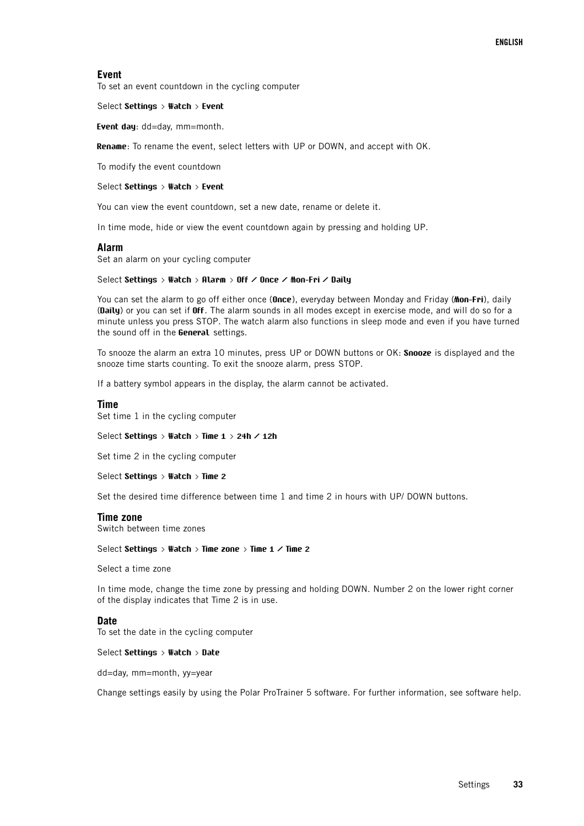### <span id="page-32-0"></span>**Event**

To set an event countdown in the cycling computer

Select **Settings > Watch > Event**

**Event day**: dd=day, mm=month.

**Rename**: To rename the event, select letters with UP or DOWN, and accept with OK.

To modify the event countdown

#### Select **Settings > Watch > Event**

You can view the event countdown, set a new date, rename or delete it.

<span id="page-32-1"></span>In time mode, hide or view the event countdown again by pressing and holding UP.

#### **Alarm**

Set an alarm on your cycling computer

#### Select **Settings > Watch > Alarm > Off / Once / Mon-Fri / Daily**

You can set the alarm to go off either once (**Once**), everyday between Monday and Friday (**Mon-Fri**), daily (**Daily**) or you can set if **Off**. The alarm sounds in all modes except in exercise mode, and will do so for a minute unless you press STOP. The watch alarm also functions in sleep mode and even if you have turned the sound off in the **General** settings.

To snooze the alarm an extra 10 minutes, press UP or DOWN buttons or OK: **Snooze** is displayed and the snooze time starts counting. To exit the snooze alarm, press STOP.

<span id="page-32-2"></span>If a battery symbol appears in the display, the alarm cannot be activated.

#### **Time**

Set time 1 in the cycling computer

Select **Settings > Watch > Time 1 > 24h / 12h**

Set time 2 in the cycling computer

Select **Settings > Watch > Time 2**

<span id="page-32-3"></span>Set the desired time difference between time 1 and time 2 in hours with UP/ DOWN buttons.

### **Time zone**

Switch between time zones

### Select **Settings > Watch > Time zone > Time 1 / Time 2**

Select a time zone

In time mode, change the time zone by pressing and holding DOWN. Number 2 on the lower right corner of the display indicates that Time 2 is in use.

### <span id="page-32-4"></span>**Date**

To set the date in the cycling computer

### Select **Settings > Watch > Date**

dd=day, mm=month, yy=year

Change settings easily by using the Polar ProTrainer 5 software. For further information, see software help.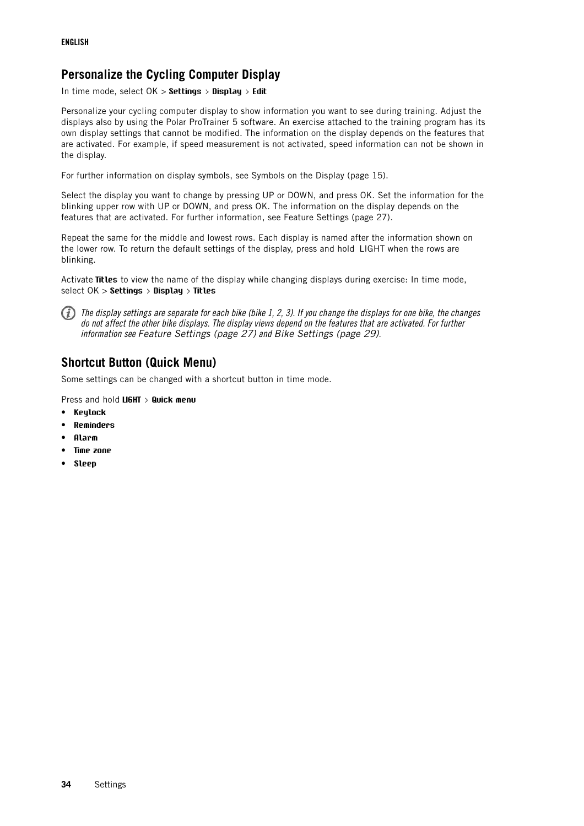# <span id="page-33-0"></span>**Personalize the Cycling Computer Display**

In time mode, select OK > **Settings > Display > Edit**

Personalize your cycling computer display to show information you want to see during training. Adjust the displays also by using the Polar ProTrainer 5 software. An exercise attached to the training program has its own display settings that cannot be modified. The information on the display depends on the features that are activated. For example, if speed measurement is not activated, speed information can not be shown in the display.

For further information on display symbols, see [Symbols on the Display \(page](#page-14-0) 15).

Select the display you want to change by pressing UP or DOWN, and press OK. Set the information for the blinking upper row with UP or DOWN, and press OK. The information on the display depends on the features that are activated. For further information, see [Feature Settings \(page](#page-26-2) 27).

Repeat the same for the middle and lowest rows. Each display is named after the information shown on the lower row. To return the default settings of the display, press and hold LIGHT when the rows are blinking.

Activate **Titles** to view the name of the display while changing displays during exercise: In time mode, select OK > **Settings > Display > Titles**

The display settings are separate for each bike (bike 1, 2, 3). If you change the displays for one bike, the changes do not affect the other bike displays. The display views depend on the features that are activated. For further information see [Feature Settings \(page](#page-26-2) 27) and [Bike Settings \(page](#page-28-2) 29).

# <span id="page-33-1"></span>**Shortcut Button (Quick Menu)**

Some settings can be changed with a shortcut button in time mode.

Press and hold **LIGHT > Quick menu**

- **Keylock**
- **Reminders**
- **Alarm**
- **Time zone**
- **Sleep**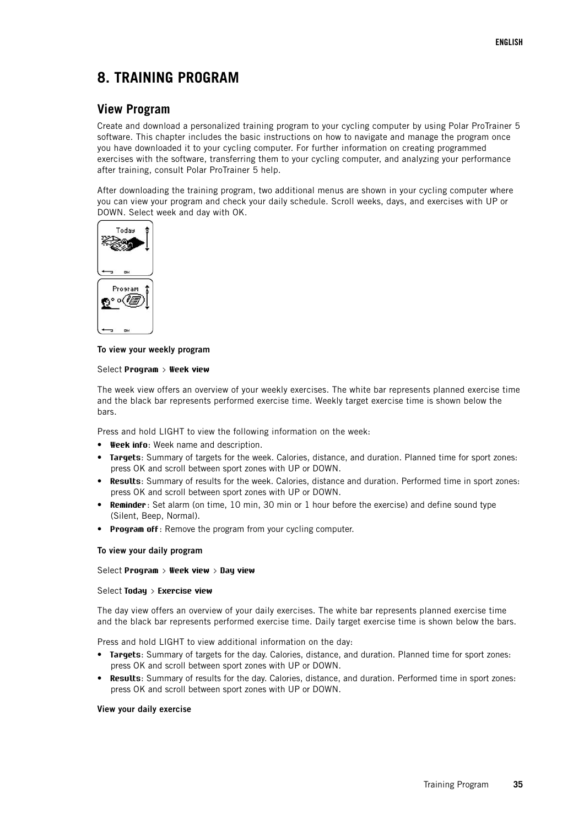# <span id="page-34-0"></span>**8. TRAINING PROGRAM**

### <span id="page-34-1"></span>**View Program**

Create and download a personalized training program to your cycling computer by using Polar ProTrainer 5 software. This chapter includes the basic instructions on how to navigate and manage the program once you have downloaded it to your cycling computer. For further information on creating programmed exercises with the software, transferring them to your cycling computer, and analyzing your performance after training, consult Polar ProTrainer 5 help.

After downloading the training program, two additional menus are shown in your cycling computer where you can view your program and check your daily schedule. Scroll weeks, days, and exercises with UP or DOWN. Select week and day with OK.



### **To view your weekly program**

### Select **Program > Week view**

The week view offers an overview of your weekly exercises. The white bar represents planned exercise time and the black bar represents performed exercise time. Weekly target exercise time is shown below the bars.

Press and hold LIGHT to view the following information on the week:

- **Week info**: Week name and description.
- **Targets**: Summary of targets for the week. Calories, distance, and duration. Planned time for sport zones: press OK and scroll between sport zones with UP or DOWN.
- **Results**: Summary of results for the week. Calories, distance and duration. Performed time in sport zones: press OK and scroll between sport zones with UP or DOWN.
- **Reminder**: Set alarm (on time, 10 min, 30 min or 1 hour before the exercise) and define sound type (Silent, Beep, Normal).
- **Program off**: Remove the program from your cycling computer.

### **To view your daily program**

### Select **Program > Week view > Day view**

### Select **Today > Exercise view**

The day view offers an overview of your daily exercises. The white bar represents planned exercise time and the black bar represents performed exercise time. Daily target exercise time is shown below the bars.

Press and hold LIGHT to view additional information on the day:

- **Targets**: Summary of targets for the day. Calories, distance, and duration. Planned time for sport zones: press OK and scroll between sport zones with UP or DOWN.
- **Results**: Summary of results for the day. Calories, distance, and duration. Performed time in sport zones: press OK and scroll between sport zones with UP or DOWN.

### **View your daily exercise**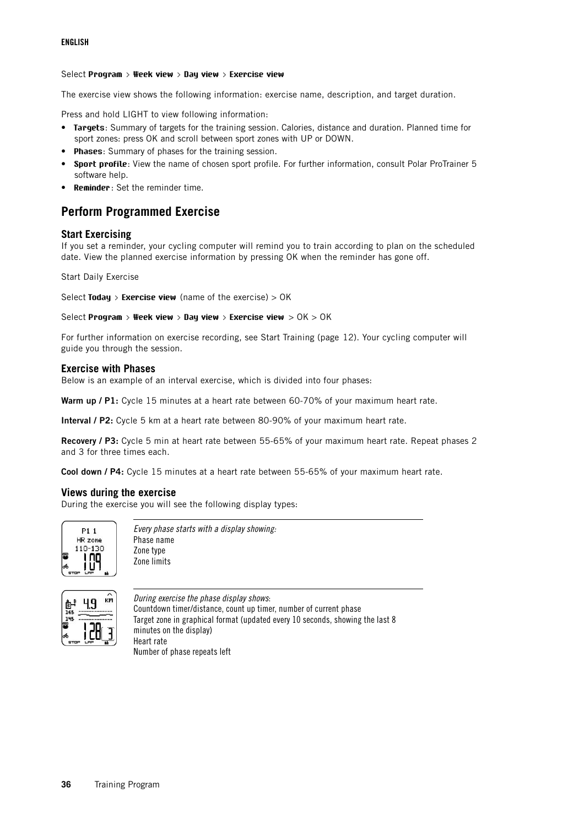### Select **Program > Week view > Day view > Exercise view**

The exercise view shows the following information: exercise name, description, and target duration.

Press and hold LIGHT to view following information:

- **Targets**: Summary of targets for the training session. Calories, distance and duration. Planned time for sport zones: press OK and scroll between sport zones with UP or DOWN.
- **Phases**: Summary of phases for the training session.
- **Sport profile**: View the name of chosen sport profile. For further information, consult Polar ProTrainer 5 software help.
- <span id="page-35-0"></span>• **Reminder**: Set the reminder time.

## **Perform Programmed Exercise**

### <span id="page-35-1"></span>**Start Exercising**

If you set a reminder, your cycling computer will remind you to train according to plan on the scheduled date. View the planned exercise information by pressing OK when the reminder has gone off.

Start Daily Exercise

```
Select Today > Exercise view (name of the exercise) > OK
```

```
Select Program > Week view > Day view > Exercise view > OK > OK
```
For further information on exercise recording, see [Start Training \(page](#page-11-2) 12). Your cycling computer will guide you through the session.

### <span id="page-35-2"></span>**Exercise with Phases**

Below is an example of an interval exercise, which is divided into four phases:

**Warm up / P1:** Cycle 15 minutes at a heart rate between 60-70% of your maximum heart rate.

**Interval / P2:** Cycle 5 km at a heart rate between 80-90% of your maximum heart rate.

**Recovery / P3:** Cycle 5 min at heart rate between 55-65% of your maximum heart rate. Repeat phases 2 and 3 for three times each.

<span id="page-35-3"></span>**Cool down / P4:** Cycle 15 minutes at a heart rate between 55-65% of your maximum heart rate.

### **Views during the exercise**

During the exercise you will see the following display types:



Every phase starts with a display showing: Phase name Zone type Zone limits



During exercise the phase display shows: Countdown timer/distance, count up timer, number of current phase Target zone in graphical format (updated every 10 seconds, showing the last 8 minutes on the display) Heart rate Number of phase repeats left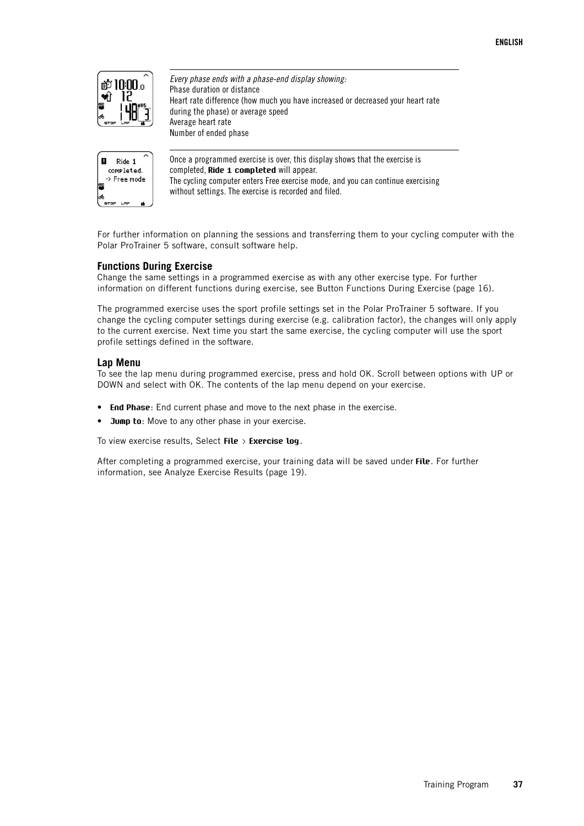

Every phase ends with a phase-end display showing: Phase duration or distance Heart rate difference (how much you have increased or decreased your heart rate during the phase) or average speed Average heart rate Number of ended phase



Once a programmed exercise is over, this display shows that the exercise is completed, **Ride 1 completed** will appear. The cycling computer enters Free exercise mode, and you can continue exercising without settings. The exercise is recorded and filed.

For further information on planning the sessions and transferring them to your cycling computer with the Polar ProTrainer 5 software, consult software help.

### <span id="page-36-0"></span>**Functions During Exercise**

Change the same settings in a programmed exercise as with any other exercise type. For further information on different functions during exercise, see [Button Functions During Exercise \(page](#page-15-0) 16).

The programmed exercise uses the sport profile settings set in the Polar ProTrainer 5 software. If you change the cycling computer settings during exercise (e.g. calibration factor), the changes will only apply to the current exercise. Next time you start the same exercise, the cycling computer will use the sport profile settings defined in the software.

### <span id="page-36-1"></span>**Lap Menu**

To see the lap menu during programmed exercise, press and hold OK. Scroll between options with UP or DOWN and select with OK. The contents of the lap menu depend on your exercise.

- **End Phase**: End current phase and move to the next phase in the exercise.
- **Jump to**: Move to any other phase in your exercise.

To view exercise results, Select **File > Exercise log**.

After completing a programmed exercise, your training data will be saved under **File**. For further information, see [Analyze Exercise Results \(page](#page-18-1) 19).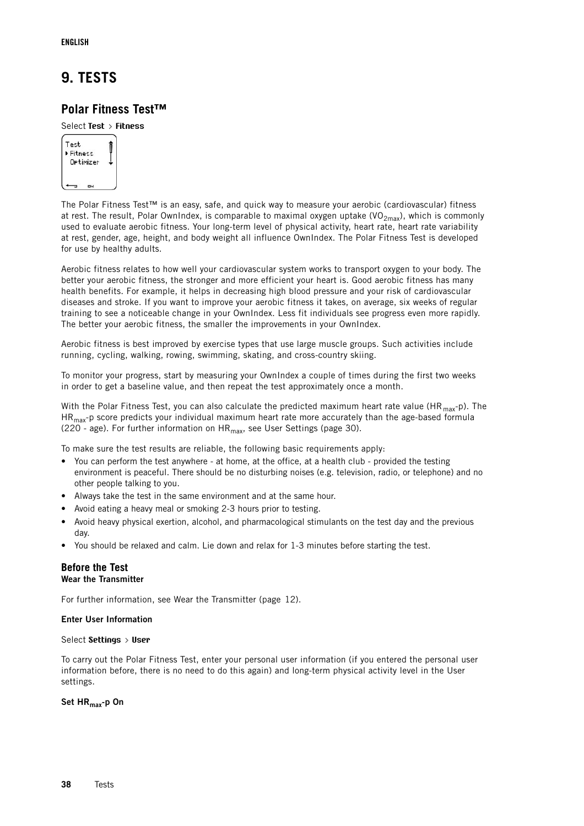# <span id="page-37-0"></span>**9. TESTS**

## <span id="page-37-1"></span>**Polar Fitness Test™**

### Select **Test > Fitness**



The Polar Fitness Test™ is an easy, safe, and quick way to measure your aerobic (cardiovascular) fitness at rest. The result, Polar OwnIndex, is comparable to maximal oxygen uptake (VO<sub>2max</sub>), which is commonly used to evaluate aerobic fitness. Your long-term level of physical activity, heart rate, heart rate variability at rest, gender, age, height, and body weight all influence OwnIndex. The Polar Fitness Test is developed for use by healthy adults.

Aerobic fitness relates to how well your cardiovascular system works to transport oxygen to your body. The better your aerobic fitness, the stronger and more efficient your heart is. Good aerobic fitness has many health benefits. For example, it helps in decreasing high blood pressure and your risk of cardiovascular diseases and stroke. If you want to improve your aerobic fitness it takes, on average, six weeks of regular training to see a noticeable change in your OwnIndex. Less fit individuals see progress even more rapidly. The better your aerobic fitness, the smaller the improvements in your OwnIndex.

Aerobic fitness is best improved by exercise types that use large muscle groups. Such activities include running, cycling, walking, rowing, swimming, skating, and cross-country skiing.

To monitor your progress, start by measuring your OwnIndex a couple of times during the first two weeks in order to get a baseline value, and then repeat the test approximately once a month.

With the Polar Fitness Test, you can also calculate the predicted maximum heart rate value (HR  $_{\text{max}}$ -p). The  $HR<sub>max</sub>$ -p score predicts your individual maximum heart rate more accurately than the age-based formula (220 - age). For further information on  $HR_{max}$ , see [User Settings \(page](#page-29-2) 30).

To make sure the test results are reliable, the following basic requirements apply:

- You can perform the test anywhere at home, at the office, at a health club provided the testing environment is peaceful. There should be no disturbing noises (e.g. television, radio, or telephone) and no other people talking to you.
- Always take the test in the same environment and at the same hour.
- Avoid eating a heavy meal or smoking 2-3 hours prior to testing.
- Avoid heavy physical exertion, alcohol, and pharmacological stimulants on the test day and the previous day.
- <span id="page-37-2"></span>• You should be relaxed and calm. Lie down and relax for 1-3 minutes before starting the test.

### **Before the Test Wear the Transmitter**

For further information, see [Wear the Transmitter \(page](#page-11-1) 12).

### **Enter User Information**

### Select **Settings > User**

To carry out the Polar Fitness Test, enter your personal user information (if you entered the personal user information before, there is no need to do this again) and long-term physical activity level in the User settings.

**Set HRmax-p On**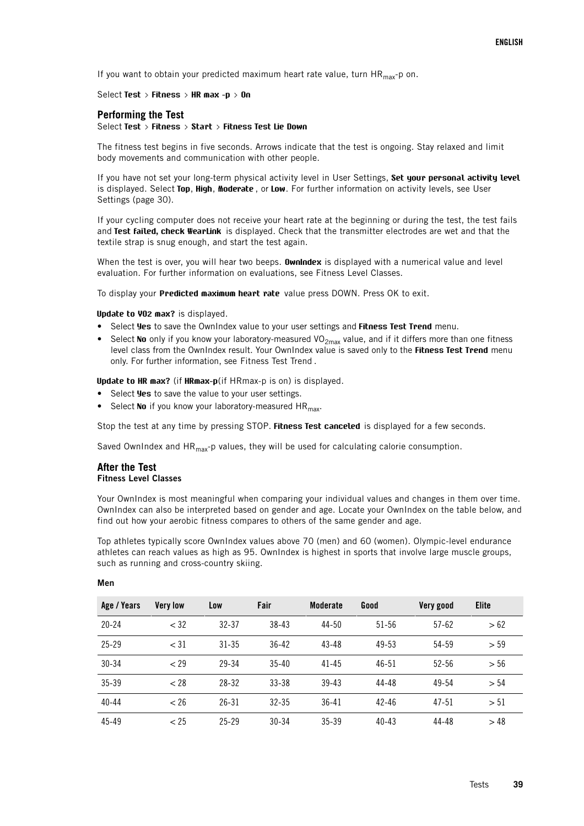If you want to obtain your predicted maximum heart rate value, turn  $HR_{max}$ -p on.

#### <span id="page-38-0"></span>Select **Test > Fitness > HR max -p > On**

### **Performing the Test**

#### Select **Test > Fitness > Start > Fitness Test Lie Down**

The fitness test begins in five seconds. Arrows indicate that the test is ongoing. Stay relaxed and limit body movements and communication with other people.

If you have not set your long-term physical activity level in User Settings, **Set your personal activity level** is displayed. Select **Top**, **High**, **Moderate** , or **Low**. For further information on activity levels, see [User](#page-29-2) [Settings \(page](#page-29-2) 30).

If your cycling computer does not receive your heart rate at the beginning or during the test, the test fails and **Test failed, check WearLink** is displayed. Check that the transmitter electrodes are wet and that the textile strap is snug enough, and start the test again.

When the test is over, you will hear two beeps. **OwnIndex** is displayed with a numerical value and level evaluation. For further information on evaluations, see [Fitness Level Classes.](#page-38-1)

To display your **Predicted maximum heart rate** value press DOWN. Press OK to exit.

#### **Update to VO2 max?** is displayed.

- Select **Yes** to save the OwnIndex value to your user settings and **Fitness Test Trend** menu.
- Select No only if you know your laboratory-measured VO<sub>2max</sub> value, and if it differs more than one fitness level class from the OwnIndex result. Your OwnIndex value is saved only to the **Fitness Test Trend** menu only. For further information, see Fitness Test Trend .

**Update to HR max?** (if **HRmax-p**(if HRmax-p is on) is displayed.

- Select **Yes** to save the value to your user settings.
- Select No if you know your laboratory-measured HR<sub>max</sub>.

Stop the test at any time by pressing STOP. **Fitness Test canceled** is displayed for a few seconds.

<span id="page-38-1"></span>Saved OwnIndex and  $HR<sub>max</sub>-p$  values, they will be used for calculating calorie consumption.

### **After the Test Fitness Level Classes**

Your OwnIndex is most meaningful when comparing your individual values and changes in them over time. OwnIndex can also be interpreted based on gender and age. Locate your OwnIndex on the table below, and find out how your aerobic fitness compares to others of the same gender and age.

Top athletes typically score OwnIndex values above 70 (men) and 60 (women). Olympic-level endurance athletes can reach values as high as 95. OwnIndex is highest in sports that involve large muscle groups, such as running and cross-country skiing.

| Age / Years | <b>Very low</b> | Low       | Fair      | <b>Moderate</b> | Good      | Very good | <b>Elite</b> |
|-------------|-----------------|-----------|-----------|-----------------|-----------|-----------|--------------|
| $20 - 24$   | < 32            | $32 - 37$ | $38 - 43$ | $44 - 50$       | $51 - 56$ | $57 - 62$ | >62          |
| $25 - 29$   | $<$ 31          | $31 - 35$ | $36 - 42$ | $43 - 48$       | $49 - 53$ | 54-59     | > 59         |
| 30-34       | ~129            | 29-34     | $35 - 40$ | $41 - 45$       | $46 - 51$ | $52 - 56$ | > 56         |
| 35-39       | < 28            | $28 - 32$ | $33 - 38$ | $39 - 43$       | $44 - 48$ | 49-54     | > 54         |
| $40 - 44$   | < 26            | $26 - 31$ | $32 - 35$ | $36 - 41$       | $42 - 46$ | $47 - 51$ | > 51         |
| 45-49       | < 25            | $25 - 29$ | $30 - 34$ | $35 - 39$       | $40 - 43$ | 44-48     | >48          |

#### **Men**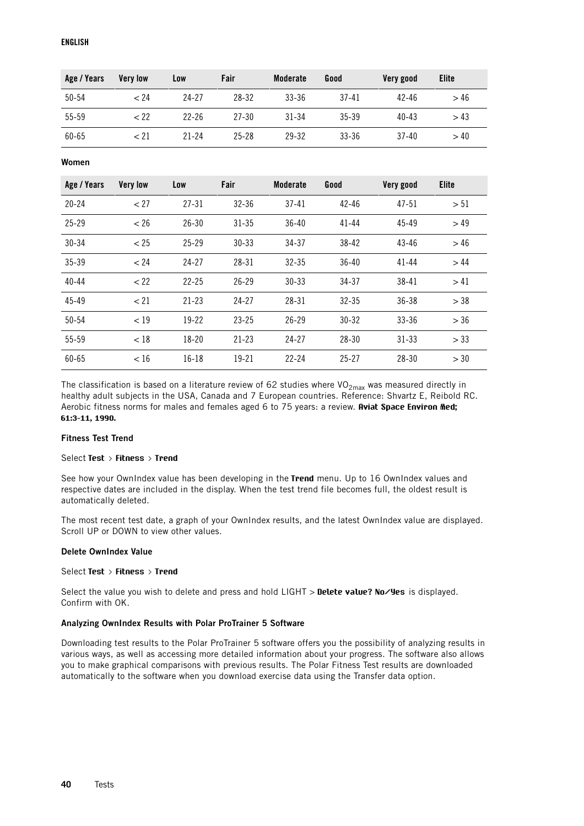| Age / Years | <b>Very low</b> | Low       | Fair      | Moderate  | Good      | Very good | Elite |
|-------------|-----------------|-----------|-----------|-----------|-----------|-----------|-------|
| $50 - 54$   | < 24            | 24-27     | 28-32     | $33 - 36$ | $37 - 41$ | $42 - 46$ | >46   |
| 55-59       | $<$ 22          | $22-26$   | $27 - 30$ | $31 - 34$ | $35 - 39$ | $40 - 43$ | >43   |
| $60 - 65$   | < 21            | $21 - 24$ | $25 - 28$ | 29-32     | $33 - 36$ | $37 - 40$ | >40   |

**Women**

| Age / Years | <b>Very low</b> | Low       | Fair      | <b>Moderate</b> | Good      | Very good | <b>Elite</b> |
|-------------|-----------------|-----------|-----------|-----------------|-----------|-----------|--------------|
| $20 - 24$   | < 27            | $27 - 31$ | $32 - 36$ | $37 - 41$       | $42 - 46$ | $47 - 51$ | > 51         |
| $25 - 29$   | < 26            | $26 - 30$ | $31 - 35$ | $36 - 40$       | $41 - 44$ | $45 - 49$ | > 49         |
| $30 - 34$   | < 25            | $25 - 29$ | $30 - 33$ | $34 - 37$       | $38 - 42$ | $43 - 46$ | >46          |
| 35-39       | < 24            | $24 - 27$ | $28 - 31$ | $32 - 35$       | $36 - 40$ | $41 - 44$ | >44          |
| $40 - 44$   | < 22            | $22 - 25$ | $26 - 29$ | $30 - 33$       | $34 - 37$ | 38-41     | >41          |
| 45-49       | < 21            | $21 - 23$ | $24 - 27$ | 28-31           | $32 - 35$ | $36 - 38$ | > 38         |
| 50-54       | < 19            | $19 - 22$ | $23 - 25$ | $26 - 29$       | $30 - 32$ | $33 - 36$ | > 36         |
| 55-59       | < 18            | $18 - 20$ | $21 - 23$ | $24 - 27$       | $28 - 30$ | $31 - 33$ | > 33         |
| 60-65       | < 16            | $16 - 18$ | $19 - 21$ | $22 - 24$       | $25 - 27$ | $28 - 30$ | > 30         |

The classification is based on a literature review of 62 studies where  $VO_{2max}$  was measured directly in healthy adult subjects in the USA, Canada and 7 European countries. Reference: Shvartz E, Reibold RC. Aerobic fitness norms for males and females aged 6 to 75 years: a review. **Aviat Space Environ Med; 61:3-11, 1990.**

### **Fitness Test Trend**

### Select **Test > Fitness > Trend**

See how your OwnIndex value has been developing in the **Trend** menu. Up to 16 OwnIndex values and respective dates are included in the display. When the test trend file becomes full, the oldest result is automatically deleted.

The most recent test date, a graph of your OwnIndex results, and the latest OwnIndex value are displayed. Scroll UP or DOWN to view other values.

### **Delete OwnIndex Value**

### Select **Test > Fitness > Trend**

Select the value you wish to delete and press and hold LIGHT > **Delete value? No/Yes** is displayed. Confirm with OK.

### **Analyzing OwnIndex Results with Polar ProTrainer 5 Software**

Downloading test results to the Polar ProTrainer 5 software offers you the possibility of analyzing results in various ways, as well as accessing more detailed information about your progress. The software also allows you to make graphical comparisons with previous results. The Polar Fitness Test results are downloaded automatically to the software when you download exercise data using the Transfer data option.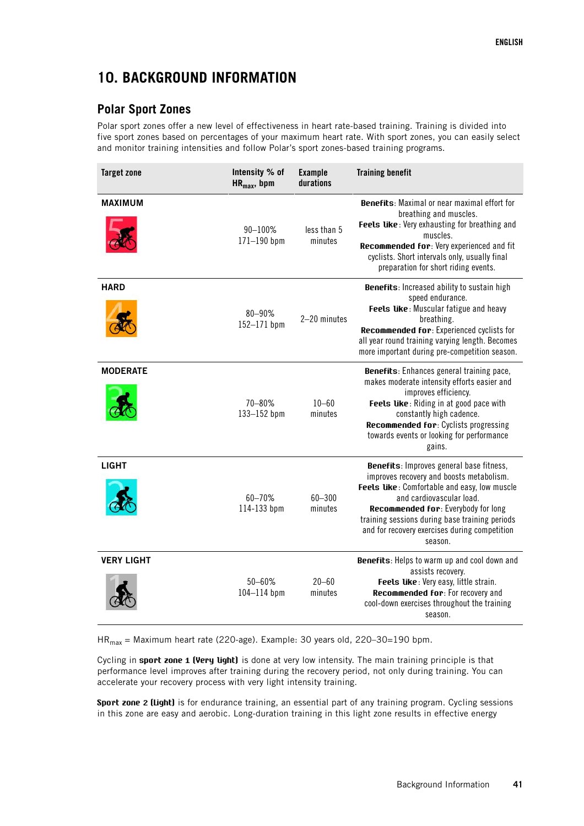# <span id="page-40-0"></span>**10. BACKGROUND INFORMATION**

# <span id="page-40-1"></span>**Polar Sport Zones**

Polar sport zones offer a new level of effectiveness in heart rate-based training. Training is divided into five sport zones based on percentages of your maximum heart rate. With sport zones, you can easily select and monitor training intensities and follow Polar's sport zones-based training programs.

| <b>Target zone</b> | Intensity % of<br>$HR_{max}$ , bpm | <b>Example</b><br>durations | <b>Training benefit</b>                                                                                                                                                                                                                                                                                               |
|--------------------|------------------------------------|-----------------------------|-----------------------------------------------------------------------------------------------------------------------------------------------------------------------------------------------------------------------------------------------------------------------------------------------------------------------|
| <b>MAXIMUM</b>     | 90-100%<br>$171 - 190$ bpm         | less than 5<br>minutes      | <b>Benefits:</b> Maximal or near maximal effort for<br>breathing and muscles.<br>Feels like: Very exhausting for breathing and<br>muscles.<br>Recommended for: Very experienced and fit<br>cyclists. Short intervals only, usually final<br>preparation for short riding events.                                      |
| <b>HARD</b>        | 80-90%<br>152-171 bpm              | 2-20 minutes                | <b>Benefits:</b> Increased ability to sustain high<br>speed endurance.<br>Feels like: Muscular fatigue and heavy<br>breathing.<br>Recommended for: Experienced cyclists for<br>all year round training varying length. Becomes<br>more important during pre-competition season.                                       |
| <b>MODERATE</b>    | 70-80%<br>$133 - 152$ bpm          | $10 - 60$<br>minutes        | Benefits: Enhances general training pace,<br>makes moderate intensity efforts easier and<br>improves efficiency.<br>Feels like: Riding in at good pace with<br>constantly high cadence.<br><b>Recommended for: Cyclists progressing</b><br>towards events or looking for performance<br>gains.                        |
| <b>LIGHT</b>       | 60-70%<br>114-133 bpm              | $60 - 300$<br>minutes       | Benefits: Improves general base fitness,<br>improves recovery and boosts metabolism.<br>Feels like: Comfortable and easy, low muscle<br>and cardiovascular load.<br>Recommended for: Everybody for long<br>training sessions during base training periods<br>and for recovery exercises during competition<br>season. |
| <b>VERY LIGHT</b>  | $50 - 60%$<br>$104 - 114$ bpm      | $20 - 60$<br>minutes        | Benefits: Helps to warm up and cool down and<br>assists recovery.<br>Feels like: Very easy, little strain.<br>Recommended for: For recovery and<br>cool-down exercises throughout the training<br>season.                                                                                                             |

 $HR<sub>max</sub>$  = Maximum heart rate (220-age). Example: 30 years old, 220-30=190 bpm.

Cycling in **sport zone 1 (Very light)** is done at very low intensity. The main training principle is that performance level improves after training during the recovery period, not only during training. You can accelerate your recovery process with very light intensity training.

**Sport zone 2 (Light)** is for endurance training, an essential part of any training program. Cycling sessions in this zone are easy and aerobic. Long-duration training in this light zone results in effective energy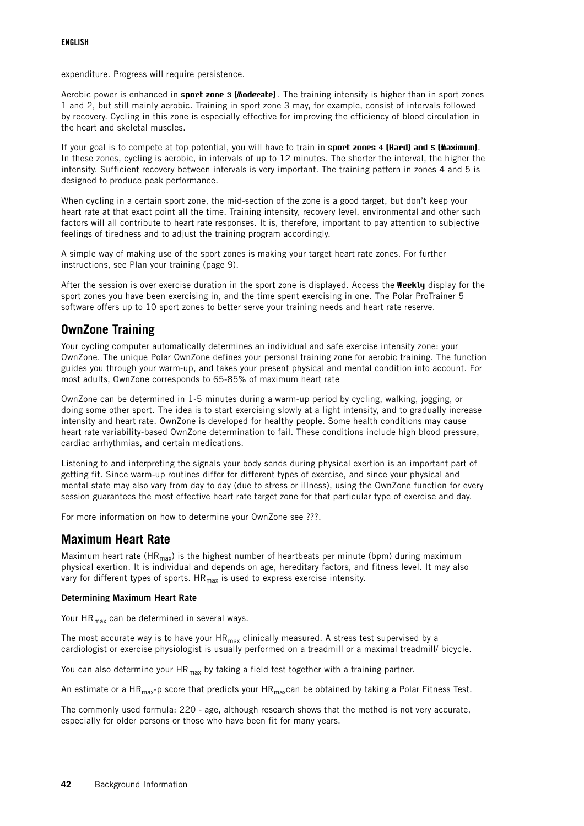expenditure. Progress will require persistence.

Aerobic power is enhanced in **sport zone 3 (Moderate)** . The training intensity is higher than in sport zones 1 and 2, but still mainly aerobic. Training in sport zone 3 may, for example, consist of intervals followed by recovery. Cycling in this zone is especially effective for improving the efficiency of blood circulation in the heart and skeletal muscles.

If your goal is to compete at top potential, you will have to train in **sport zones 4 (Hard) and 5 (Maximum)**. In these zones, cycling is aerobic, in intervals of up to 12 minutes. The shorter the interval, the higher the intensity. Sufficient recovery between intervals is very important. The training pattern in zones 4 and 5 is designed to produce peak performance.

When cycling in a certain sport zone, the mid-section of the zone is a good target, but don't keep your heart rate at that exact point all the time. Training intensity, recovery level, environmental and other such factors will all contribute to heart rate responses. It is, therefore, important to pay attention to subjective feelings of tiredness and to adjust the training program accordingly.

A simple way of making use of the sport zones is making your target heart rate zones. For further instructions, see [Plan your training \(page](#page-8-1) 9).

After the session is over exercise duration in the sport zone is displayed. Access the **Weekly** display for the sport zones you have been exercising in, and the time spent exercising in one. The Polar ProTrainer 5 software offers up to 10 sport zones to better serve your training needs and heart rate reserve.

## <span id="page-41-0"></span>**OwnZone Training**

Your cycling computer automatically determines an individual and safe exercise intensity zone: your OwnZone. The unique Polar OwnZone defines your personal training zone for aerobic training. The function guides you through your warm-up, and takes your present physical and mental condition into account. For most adults, OwnZone corresponds to 65-85% of maximum heart rate

OwnZone can be determined in 1-5 minutes during a warm-up period by cycling, walking, jogging, or doing some other sport. The idea is to start exercising slowly at a light intensity, and to gradually increase intensity and heart rate. OwnZone is developed for healthy people. Some health conditions may cause heart rate variability-based OwnZone determination to fail. These conditions include high blood pressure, cardiac arrhythmias, and certain medications.

Listening to and interpreting the signals your body sends during physical exertion is an important part of getting fit. Since warm-up routines differ for different types of exercise, and since your physical and mental state may also vary from day to day (due to stress or illness), using the OwnZone function for every session guarantees the most effective heart rate target zone for that particular type of exercise and day.

<span id="page-41-1"></span>For more information on how to determine your OwnZone see ???.

### **Maximum Heart Rate**

Maximum heart rate (HR<sub>max</sub>) is the highest number of heartbeats per minute (bpm) during maximum physical exertion. It is individual and depends on age, hereditary factors, and fitness level. It may also vary for different types of sports.  $HR_{max}$  is used to express exercise intensity.

### **Determining Maximum Heart Rate**

Your  $HR_{max}$  can be determined in several ways.

The most accurate way is to have your  $HR_{max}$  clinically measured. A stress test supervised by a cardiologist or exercise physiologist is usually performed on a treadmill or a maximal treadmill/ bicycle.

You can also determine your  $HR_{max}$  by taking a field test together with a training partner.

An estimate or a HR<sub>max</sub>-p score that predicts your HR<sub>max</sub>can be obtained by taking a Polar Fitness Test.

The commonly used formula: 220 - age, although research shows that the method is not very accurate, especially for older persons or those who have been fit for many years.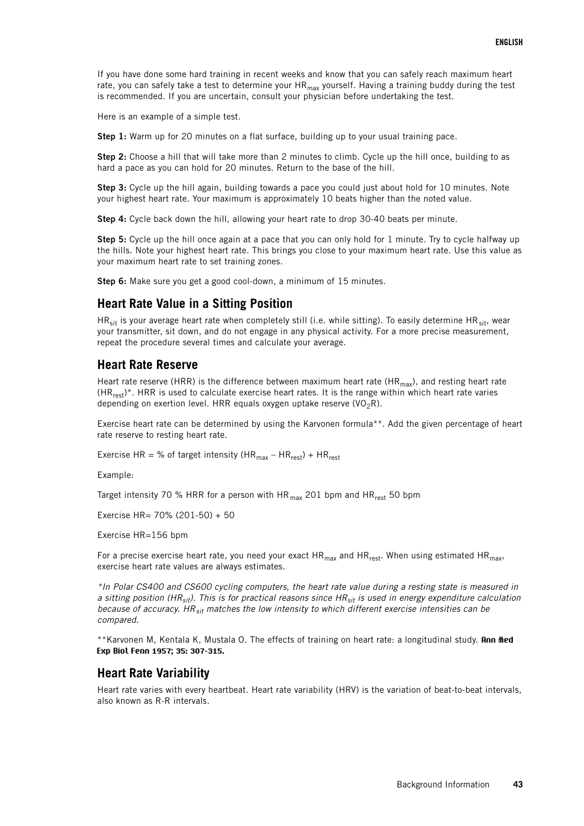If you have done some hard training in recent weeks and know that you can safely reach maximum heart rate, you can safely take a test to determine your  $HR_{max}$  yourself. Having a training buddy during the test is recommended. If you are uncertain, consult your physician before undertaking the test.

Here is an example of a simple test.

**Step 1:** Warm up for 20 minutes on a flat surface, building up to your usual training pace.

**Step 2:** Choose a hill that will take more than 2 minutes to climb. Cycle up the hill once, building to as hard a pace as you can hold for 20 minutes. Return to the base of the hill.

**Step 3:** Cycle up the hill again, building towards a pace you could just about hold for 10 minutes. Note your highest heart rate. Your maximum is approximately 10 beats higher than the noted value.

**Step 4:** Cycle back down the hill, allowing your heart rate to drop 30-40 beats per minute.

**Step 5:** Cycle up the hill once again at a pace that you can only hold for 1 minute. Try to cycle halfway up the hills. Note your highest heart rate. This brings you close to your maximum heart rate. Use this value as your maximum heart rate to set training zones.

<span id="page-42-0"></span>**Step 6:** Make sure you get a good cool-down, a minimum of 15 minutes.

### **Heart Rate Value in a Sitting Position**

HR<sub>sit</sub> is your average heart rate when completely still (i.e. while sitting). To easily determine HR<sub>sit</sub>, wear your transmitter, sit down, and do not engage in any physical activity. For a more precise measurement, repeat the procedure several times and calculate your average.

### <span id="page-42-1"></span>**Heart Rate Reserve**

Heart rate reserve (HRR) is the difference between maximum heart rate (HR<sub>max</sub>), and resting heart rate  $(HR_{rest})^*$ . HRR is used to calculate exercise heart rates. It is the range within which heart rate varies depending on exertion level. HRR equals oxygen uptake reserve (VO<sub>2</sub>R).

Exercise heart rate can be determined by using the Karvonen formula\*\*. Add the given percentage of heart rate reserve to resting heart rate.

Exercise HR = % of target intensity (HR<sub>max</sub> – HR<sub>rest</sub>) + HR<sub>rest</sub>

Example:

Target intensity 70 % HRR for a person with HR $_{max}$  201 bpm and HR $_{rest}$  50 bpm

Exercise HR= 70% (201-50) + 50

Exercise HR=156 bpm

For a precise exercise heart rate, you need your exact  $HR_{max}$  and  $HR_{rect}$ . When using estimated  $HR_{max}$ exercise heart rate values are always estimates.

\*In Polar CS400 and CS600 cycling computers, the heart rate value during a resting state is measured in a sitting position (HR<sub>sit</sub>). This is for practical reasons since HR<sub>sit</sub> is used in energy expenditure calculation because of accuracy. HR $_{\rm sit}$  matches the low intensity to which different exercise intensities can be compared.

\*\*Karvonen M, Kentala K, Mustala O. The effects of training on heart rate: a longitudinal study. **Ann Med Exp Biol Fenn 1957; 35: 307-315.**

### <span id="page-42-2"></span>**Heart Rate Variability**

Heart rate varies with every heartbeat. Heart rate variability (HRV) is the variation of beat-to-beat intervals, also known as R-R intervals.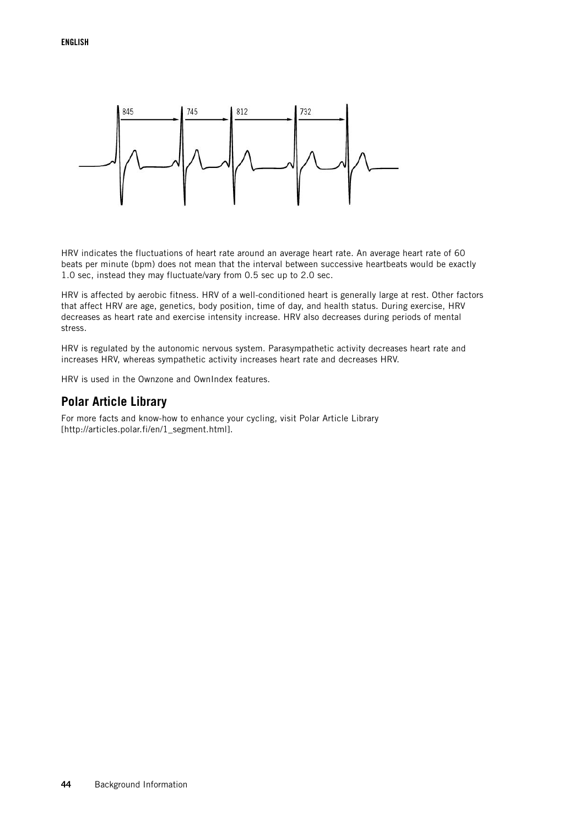

HRV indicates the fluctuations of heart rate around an average heart rate. An average heart rate of 60 beats per minute (bpm) does not mean that the interval between successive heartbeats would be exactly 1.0 sec, instead they may fluctuate/vary from 0.5 sec up to 2.0 sec.

HRV is affected by aerobic fitness. HRV of a well-conditioned heart is generally large at rest. Other factors that affect HRV are age, genetics, body position, time of day, and health status. During exercise, HRV decreases as heart rate and exercise intensity increase. HRV also decreases during periods of mental stress.

HRV is regulated by the autonomic nervous system. Parasympathetic activity decreases heart rate and increases HRV, whereas sympathetic activity increases heart rate and decreases HRV.

<span id="page-43-0"></span>HRV is used in the Ownzone and OwnIndex features.

### **Polar Article Library**

For more facts and know-how to enhance your cycling, visit [Polar Article Library](http://articles.polar.fi/en/1_segment.html) [http://articles.polar.fi/en/1\_segment.html].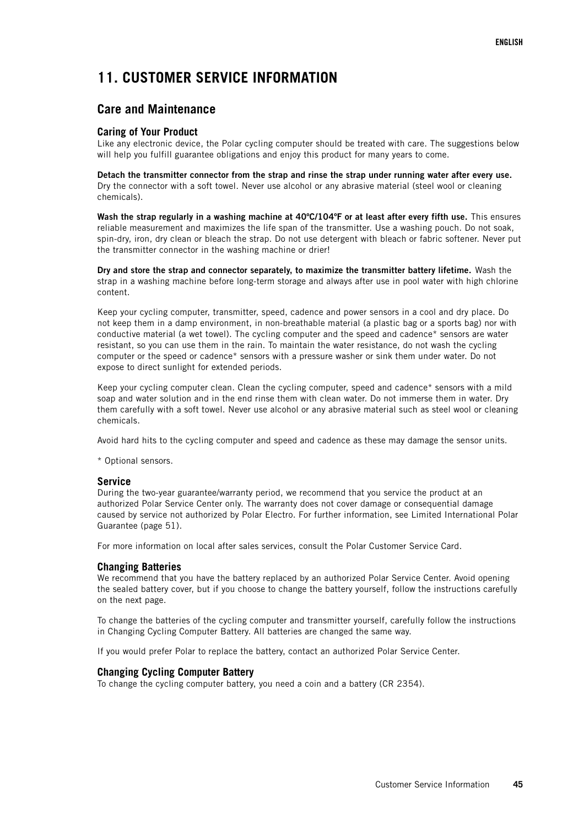# <span id="page-44-0"></span>**11. CUSTOMER SERVICE INFORMATION**

### <span id="page-44-1"></span>**Care and Maintenance**

### <span id="page-44-2"></span>**Caring of Your Product**

Like any electronic device, the Polar cycling computer should be treated with care. The suggestions below will help you fulfill guarantee obligations and enjoy this product for many years to come.

**Detach the transmitter connector from the strap and rinse the strap under running water after every use.** Dry the connector with a soft towel. Never use alcohol or any abrasive material (steel wool or cleaning chemicals).

**Wash the strap regularly in a washing machine at 40ºC/104ºF or at least after every fifth use.** This ensures reliable measurement and maximizes the life span of the transmitter. Use a washing pouch. Do not soak, spin-dry, iron, dry clean or bleach the strap. Do not use detergent with bleach or fabric softener. Never put the transmitter connector in the washing machine or drier!

**Dry and store the strap and connector separately, to maximize the transmitter battery lifetime.** Wash the strap in a washing machine before long-term storage and always after use in pool water with high chlorine content.

Keep your cycling computer, transmitter, speed, cadence and power sensors in a cool and dry place. Do not keep them in a damp environment, in non-breathable material (a plastic bag or a sports bag) nor with conductive material (a wet towel). The cycling computer and the speed and cadence\* sensors are water resistant, so you can use them in the rain. To maintain the water resistance, do not wash the cycling computer or the speed or cadence\* sensors with a pressure washer or sink them under water. Do not expose to direct sunlight for extended periods.

Keep your cycling computer clean. Clean the cycling computer, speed and cadence\* sensors with a mild soap and water solution and in the end rinse them with clean water. Do not immerse them in water. Dry them carefully with a soft towel. Never use alcohol or any abrasive material such as steel wool or cleaning chemicals.

Avoid hard hits to the cycling computer and speed and cadence as these may damage the sensor units.

<span id="page-44-3"></span>\* Optional sensors.

### **Service**

During the two-year guarantee/warranty period, we recommend that you service the product at an authorized Polar Service Center only. The warranty does not cover damage or consequential damage caused by service not authorized by Polar Electro. For further information, see [Limited International Polar](#page-50-0) [Guarantee \(page](#page-50-0) 51).

<span id="page-44-4"></span>For more information on local after sales services, consult the Polar Customer Service Card.

### **Changing Batteries**

We recommend that you have the battery replaced by an authorized Polar Service Center. Avoid opening the sealed battery cover, but if you choose to change the battery yourself, follow the instructions carefully on the next page.

To change the batteries of the cycling computer and transmitter yourself, carefully follow the instructions in Changing Cycling Computer Battery. All batteries are changed the same way.

<span id="page-44-5"></span>If you would prefer Polar to replace the battery, contact an authorized Polar Service Center.

### **Changing Cycling Computer Battery**

To change the cycling computer battery, you need a coin and a battery (CR 2354).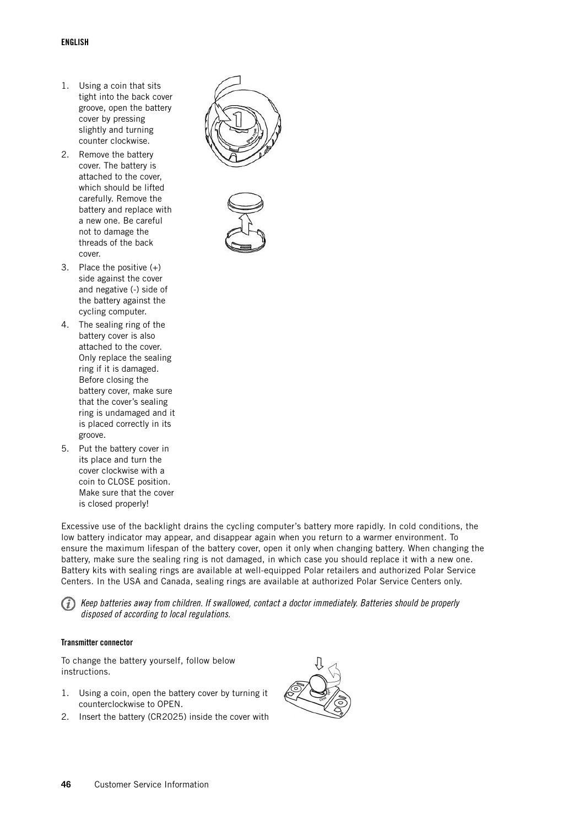- 1. Using a coin that sits tight into the back cover groove, open the battery cover by pressing slightly and turning counter clockwise.
- 2. Remove the battery cover. The battery is attached to the cover, which should be lifted carefully. Remove the battery and replace with a new one. Be careful not to damage the threads of the back cover.
- 3. Place the positive (+) side against the cover and negative (-) side of the battery against the cycling computer.
- 4. The sealing ring of the battery cover is also attached to the cover. Only replace the sealing ring if it is damaged. Before closing the battery cover, make sure that the cover's sealing ring is undamaged and it is placed correctly in its groove.
- 5. Put the battery cover in its place and turn the cover clockwise with a coin to CLOSE position. Make sure that the cover is closed properly!



Excessive use of the backlight drains the cycling computer's battery more rapidly. In cold conditions, the low battery indicator may appear, and disappear again when you return to a warmer environment. To ensure the maximum lifespan of the battery cover, open it only when changing battery. When changing the battery, make sure the sealing ring is not damaged, in which case you should replace it with a new one. Battery kits with sealing rings are available at well-equipped Polar retailers and authorized Polar Service Centers. In the USA and Canada, sealing rings are available at authorized Polar Service Centers only.

Keep batteries away from children. If swallowed, contact a doctor immediately. Batteries should be properly disposed of according to local regulations.

### **Transmitter connector**

To change the battery yourself, follow below instructions.

- 1. Using a coin, open the battery cover by turning it counterclockwise to OPEN.
- 2. Insert the battery (CR2025) inside the cover with

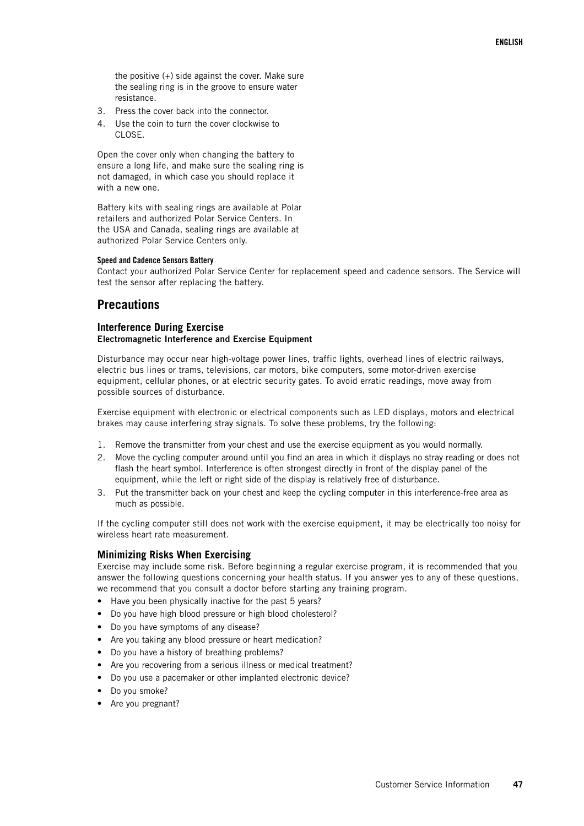the positive (+) side against the cover. Make sure the sealing ring is in the groove to ensure water resistance.

- 3. Press the cover back into the connector.
- 4. Use the coin to turn the cover clockwise to CLOSE.

Open the cover only when changing the battery to ensure a long life, and make sure the sealing ring is not damaged, in which case you should replace it with a new one.

Battery kits with sealing rings are available at Polar retailers and authorized Polar Service Centers. In the USA and Canada, sealing rings are available at authorized Polar Service Centers only.

#### **Speed and Cadence Sensors Battery**

Contact your authorized Polar Service Center for replacement speed and cadence sensors. The Service will test the sensor after replacing the battery.

### <span id="page-46-0"></span>**Precautions**

### <span id="page-46-1"></span>**Interference During Exercise Electromagnetic Interference and Exercise Equipment**

Disturbance may occur near high-voltage power lines, traffic lights, overhead lines of electric railways, electric bus lines or trams, televisions, car motors, bike computers, some motor-driven exercise equipment, cellular phones, or at electric security gates. To avoid erratic readings, move away from possible sources of disturbance.

Exercise equipment with electronic or electrical components such as LED displays, motors and electrical brakes may cause interfering stray signals. To solve these problems, try the following:

- 1. Remove the transmitter from your chest and use the exercise equipment as you would normally.
- 2. Move the cycling computer around until you find an area in which it displays no stray reading or does not flash the heart symbol. Interference is often strongest directly in front of the display panel of the equipment, while the left or right side of the display is relatively free of disturbance.
- 3. Put the transmitter back on your chest and keep the cycling computer in this interference-free area as much as possible.

If the cycling computer still does not work with the exercise equipment, it may be electrically too noisy for wireless heart rate measurement.

### <span id="page-46-2"></span>**Minimizing Risks When Exercising**

Exercise may include some risk. Before beginning a regular exercise program, it is recommended that you answer the following questions concerning your health status. If you answer yes to any of these questions, we recommend that you consult a doctor before starting any training program.

- Have you been physically inactive for the past 5 years?
- Do you have high blood pressure or high blood cholesterol?
- Do you have symptoms of any disease?
- Are you taking any blood pressure or heart medication?
- Do you have a history of breathing problems?
- Are you recovering from a serious illness or medical treatment?
- Do you use a pacemaker or other implanted electronic device?
- Do you smoke?
- Are you pregnant?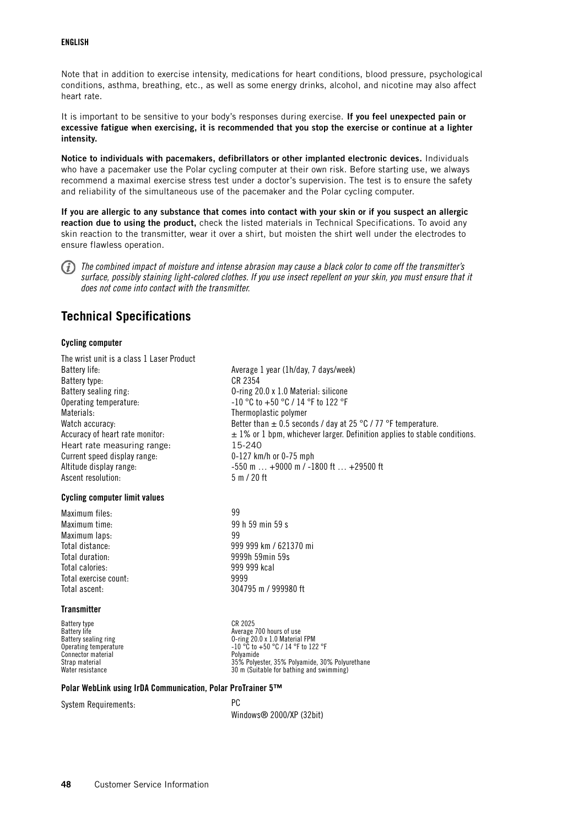### **ENGLISH**

Note that in addition to exercise intensity, medications for heart conditions, blood pressure, psychological conditions, asthma, breathing, etc., as well as some energy drinks, alcohol, and nicotine may also affect heart rate.

It is important to be sensitive to your body's responses during exercise. **If you feel unexpected pain or excessive fatigue when exercising, it is recommended that you stop the exercise or continue at a lighter intensity.**

**Notice to individuals with pacemakers, defibrillators or other implanted electronic devices.** Individuals who have a pacemaker use the Polar cycling computer at their own risk. Before starting use, we always recommend a maximal exercise stress test under a doctor's supervision. The test is to ensure the safety and reliability of the simultaneous use of the pacemaker and the Polar cycling computer.

**If you are allergic to any substance that comes into contact with your skin or if you suspect an allergic reaction due to using the product,** check the listed materials in Technical Specifications. To avoid any skin reaction to the transmitter, wear it over a shirt, but moisten the shirt well under the electrodes to ensure flawless operation.



The combined impact of moisture and intense abrasion may cause a black color to come off the transmitter's surface, possibly staining light-colored clothes. If you use insect repellent on your skin, you must ensure that it does not come into contact with the transmitter.

# <span id="page-47-0"></span>**Technical Specifications**

### **Cycling computer**

The wrist unit is a class 1 Laser Product Battery life: <br>
Average 1 year (1h/day, 7 days/week) Battery type:<br>Battery sealing ring:<br>C-ring 20 Operating temperature:  $-10^{\circ}$ C to  $+50^{\circ}$ C / 14 °F to 122 °F Materials: Thermoplastic polymer Heart rate measuring range: 15-240 Current speed display range: 0-127 km/h or 0-75 mph Ascent resolution: 5 m / 20 ft

### **Cycling computer limit values**

Maximum files: 99 Maximum time: 99 h 59 min 59 s<br>Maximum lans. Maximum laps: Total duration: 9999h 59min 59s Total calories: 999 999 kcal Total exercise count: 99999 Total ascent: 304795 m / 999980 ft

### **Transmitter**

Battery type CR 2025<br>Battery life CR 2025 Operating temperature<br>
Connector material<br>
Strap material<br>
Strap material<br>
25% Polye

0-ring 20.0 x 1.0 Material: silicone Watch accuracy:  $Better than \pm 0.5$  seconds / day at 25 °C / 77 °F temperature. Accuracy of heart rate monitor:  $\pm 1\%$  or 1 bpm, whichever larger. Definition applies to stable conditions. Altitude display range: -550 m ... +9000 m / -1800 ft ... +29500 ft

Total distance: 999 999 km / 621370 mi

Battery life<br>Battery life Average 700 hours of use<br>Battery sealing ring and the Average 700 hours of use Battery sealing ring O-ring 20.0 x 1.0 Material FPM<br>Operating temperature -10 °C to +50 °C / 14 °F to 122 °F Strap material 35% Polyester, 35% Polyester, 35% Polyester, 35% Polyester, 35% Polyester, 30% Polyurethane<br>30 m (Suitable for bathing and swimming) 30 m (Suitable for bathing and swimming)

### **Polar WebLink using IrDA Communication, Polar ProTrainer 5™**

System Requirements: PC

Windows® 2000/XP (32bit)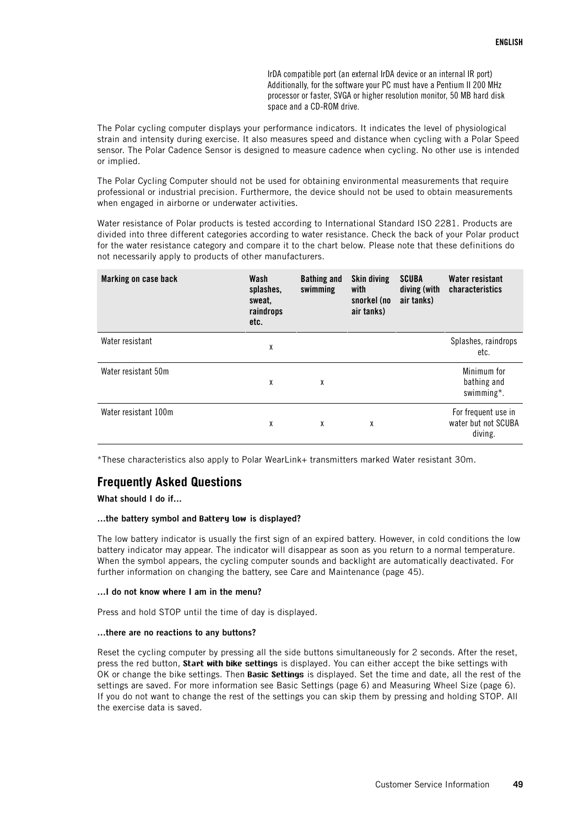IrDA compatible port (an external IrDA device or an internal IR port) Additionally, for the software your PC must have a Pentium II 200 MHz processor or faster, SVGA or higher resolution monitor, 50 MB hard disk space and a CD-ROM drive.

The Polar cycling computer displays your performance indicators. It indicates the level of physiological strain and intensity during exercise. It also measures speed and distance when cycling with a Polar Speed sensor. The Polar Cadence Sensor is designed to measure cadence when cycling. No other use is intended or implied.

The Polar Cycling Computer should not be used for obtaining environmental measurements that require professional or industrial precision. Furthermore, the device should not be used to obtain measurements when engaged in airborne or underwater activities.

Water resistance of Polar products is tested according to International Standard ISO 2281. Products are divided into three different categories according to water resistance. Check the back of your Polar product for the water resistance category and compare it to the chart below. Please note that these definitions do not necessarily apply to products of other manufacturers.

| Marking on case back | Wash<br>splashes,<br>sweat,<br>raindrops<br>etc. | <b>Bathing and</b><br>swimming | <b>Skin diving</b><br>with<br>snorkel (no<br>air tanks) | <b>SCUBA</b><br>diving (with<br>air tanks) | <b>Water resistant</b><br>characteristics             |
|----------------------|--------------------------------------------------|--------------------------------|---------------------------------------------------------|--------------------------------------------|-------------------------------------------------------|
| Water resistant      | χ                                                |                                |                                                         |                                            | Splashes, raindrops<br>etc.                           |
| Water resistant 50m  | χ                                                | χ                              |                                                         |                                            | Minimum for<br>bathing and<br>swimming*.              |
| Water resistant 100m | X                                                | χ                              | χ                                                       |                                            | For frequent use in<br>water but not SCUBA<br>diving. |

<span id="page-48-0"></span>\*These characteristics also apply to Polar WearLink+ transmitters marked Water resistant 30m.

## **Frequently Asked Questions**

**What should I do if...**

### **...the battery symbol and Battery low is displayed?**

The low battery indicator is usually the first sign of an expired battery. However, in cold conditions the low battery indicator may appear. The indicator will disappear as soon as you return to a normal temperature. When the symbol appears, the cycling computer sounds and backlight are automatically deactivated. For further information on changing the battery, see [Care and Maintenance \(page](#page-44-1) 45).

### **...I do not know where I am in the menu?**

Press and hold STOP until the time of day is displayed.

### **...there are no reactions to any buttons?**

Reset the cycling computer by pressing all the side buttons simultaneously for 2 seconds. After the reset, press the red button, **Start with bike settings** is displayed. You can either accept the bike settings with OK or change the bike settings. Then **Basic Settings** is displayed. Set the time and date, all the rest of the settings are saved. For more information see [Basic Settings \(page](#page-5-2) 6) and [Measuring Wheel Size \(page](#page-5-1) 6). If you do not want to change the rest of the settings you can skip them by pressing and holding STOP. All the exercise data is saved.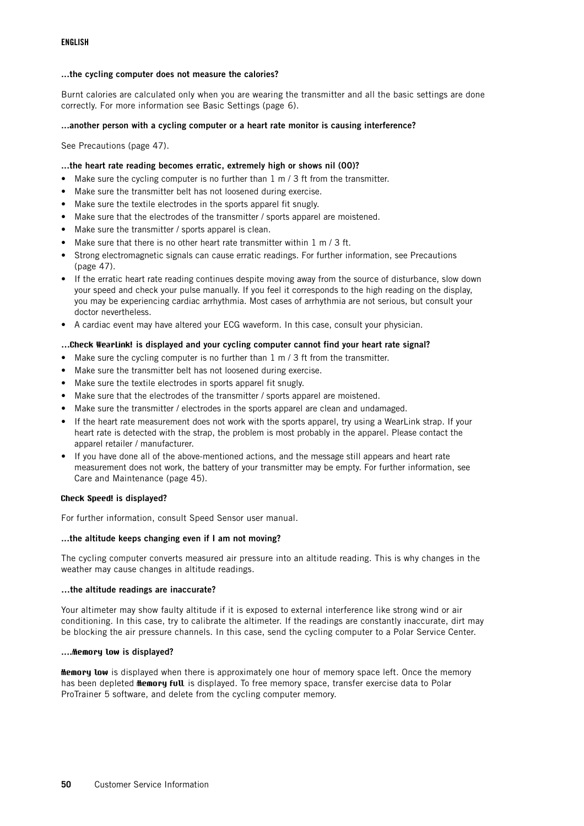### **...the cycling computer does not measure the calories?**

Burnt calories are calculated only when you are wearing the transmitter and all the basic settings are done correctly. For more information see [Basic Settings \(page](#page-5-2) 6).

### **...another person with a cycling computer or a heart rate monitor is causing interference?**

Se[e Precautions \(page](#page-46-0) 47).

### **...the heart rate reading becomes erratic, extremely high or shows nil (00)?**

- Make sure the cycling computer is no further than 1 m / 3 ft from the transmitter.
- Make sure the transmitter belt has not loosened during exercise.
- Make sure the textile electrodes in the sports apparel fit snugly.
- Make sure that the electrodes of the transmitter / sports apparel are moistened.
- Make sure the transmitter / sports apparel is clean.
- Make sure that there is no other heart rate transmitter within 1 m / 3 ft.
- Strong electromagnetic signals can cause erratic readings. For further information, see [Precautions](#page-46-0) (page 47[\)](#page-46-0).
- If the erratic heart rate reading continues despite moving away from the source of disturbance, slow down your speed and check your pulse manually. If you feel it corresponds to the high reading on the display, you may be experiencing cardiac arrhythmia. Most cases of arrhythmia are not serious, but consult your doctor nevertheless.
- A cardiac event may have altered your ECG waveform. In this case, consult your physician.

#### **…Check WearLink! is displayed and your cycling computer cannot find your heart rate signal?**

- Make sure the cycling computer is no further than 1 m / 3 ft from the transmitter.
- Make sure the transmitter belt has not loosened during exercise.
- Make sure the textile electrodes in sports apparel fit snugly.
- Make sure that the electrodes of the transmitter / sports apparel are moistened.
- Make sure the transmitter / electrodes in the sports apparel are clean and undamaged.
- If the heart rate measurement does not work with the sports apparel, try using a WearLink strap. If your heart rate is detected with the strap, the problem is most probably in the apparel. Please contact the apparel retailer / manufacturer.
- If you have done all of the above-mentioned actions, and the message still appears and heart rate measurement does not work, the battery of your transmitter may be empty. For further information, see [Care and Maintenance \(page](#page-44-1) 45).

#### **Check Speed! is displayed?**

For further information, consult Speed Sensor user manual.

#### **...the altitude keeps changing even if I am not moving?**

The cycling computer converts measured air pressure into an altitude reading. This is why changes in the weather may cause changes in altitude readings.

#### **…the altitude readings are inaccurate?**

Your altimeter may show faulty altitude if it is exposed to external interference like strong wind or air conditioning. In this case, try to calibrate the altimeter. If the readings are constantly inaccurate, dirt may be blocking the air pressure channels. In this case, send the cycling computer to a Polar Service Center.

#### **....Memory low is displayed?**

**Memory low** is displayed when there is approximately one hour of memory space left. Once the memory has been depleted **Memory full** is displayed. To free memory space, transfer exercise data to Polar ProTrainer 5 software, and delete from the cycling computer memory.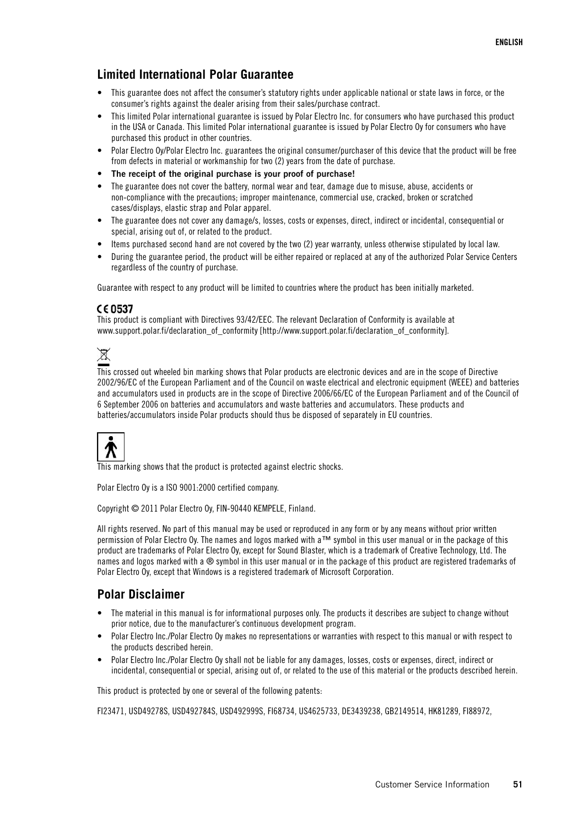## <span id="page-50-0"></span>**Limited International Polar Guarantee**

- This guarantee does not affect the consumer's statutory rights under applicable national or state laws in force, or the consumer's rights against the dealer arising from their sales/purchase contract.
- This limited Polar international guarantee is issued by Polar Electro Inc. for consumers who have purchased this product in the USA or Canada. This limited Polar international guarantee is issued by Polar Electro Oy for consumers who have purchased this product in other countries.
- Polar Electro Oy/Polar Electro Inc. guarantees the original consumer/purchaser of this device that the product will be free from defects in material or workmanship for two (2) years from the date of purchase.
- **The receipt of the original purchase is your proof of purchase!**
- The guarantee does not cover the battery, normal wear and tear, damage due to misuse, abuse, accidents or non-compliance with the precautions; improper maintenance, commercial use, cracked, broken or scratched cases/displays, elastic strap and Polar apparel.
- The guarantee does not cover any damage/s, losses, costs or expenses, direct, indirect or incidental, consequential or special, arising out of, or related to the product.
- Items purchased second hand are not covered by the two (2) year warranty, unless otherwise stipulated by local law.
- During the guarantee period, the product will be either repaired or replaced at any of the authorized Polar Service Centers regardless of the country of purchase.

Guarantee with respect to any product will be limited to countries where the product has been initially marketed.

### CE 0537

This product is compliant with Directives 93/42/EEC. The relevant Declaration of Conformity is available at [www.support.polar.fi/declaration\\_of\\_conformity](http://www.support.polar.fi/declaration_of_conformity) [http://www.support.polar.fi/declaration\_of\_conformity].



This crossed out wheeled bin marking shows that Polar products are electronic devices and are in the scope of Directive 2002/96/EC of the European Parliament and of the Council on waste electrical and electronic equipment (WEEE) and batteries and accumulators used in products are in the scope of Directive 2006/66/EC of the European Parliament and of the Council of 6 September 2006 on batteries and accumulators and waste batteries and accumulators. These products and batteries/accumulators inside Polar products should thus be disposed of separately in EU countries.



This marking shows that the product is protected against electric shocks.

Polar Electro Oy is a ISO 9001:2000 certified company.

Copyright © 2011 Polar Electro Oy, FIN-90440 KEMPELE, Finland.

All rights reserved. No part of this manual may be used or reproduced in any form or by any means without prior written permission of Polar Electro Oy. The names and logos marked with a™ symbol in this user manual or in the package of this product are trademarks of Polar Electro Oy, except for Sound Blaster, which is a trademark of Creative Technology, Ltd. The names and logos marked with a ® symbol in this user manual or in the package of this product are registered trademarks of Polar Electro Oy, except that Windows is a registered trademark of Microsoft Corporation.

### <span id="page-50-1"></span>**Polar Disclaimer**

- The material in this manual is for informational purposes only. The products it describes are subject to change without prior notice, due to the manufacturer's continuous development program.
- Polar Electro Inc./Polar Electro Oy makes no representations or warranties with respect to this manual or with respect to the products described herein.
- Polar Electro Inc./Polar Electro Oy shall not be liable for any damages, losses, costs or expenses, direct, indirect or incidental, consequential or special, arising out of, or related to the use of this material or the products described herein.

This product is protected by one or several of the following patents:

FI23471, USD49278S, USD492784S, USD492999S, FI68734, US4625733, DE3439238, GB2149514, HK81289, FI88972,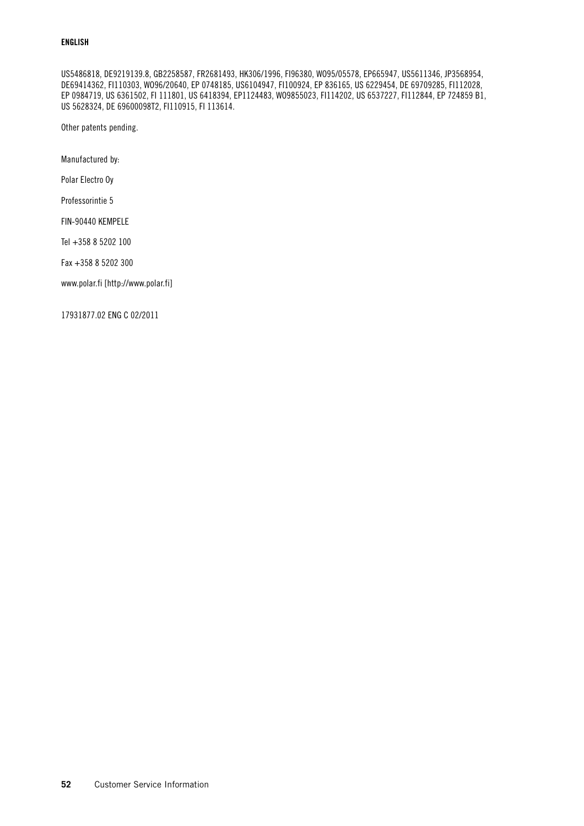### **ENGLISH**

US5486818, DE9219139.8, GB2258587, FR2681493, HK306/1996, FI96380, WO95/05578, EP665947, US5611346, JP3568954, DE69414362, FI110303, WO96/20640, EP 0748185, US6104947, FI100924, EP 836165, US 6229454, DE 69709285, FI112028, EP 0984719, US 6361502, FI 111801, US 6418394, EP1124483, WO9855023, FI114202, US 6537227, FI112844, EP 724859 B1, US 5628324, DE 69600098T2, FI110915, FI 113614.

Other patents pending.

Manufactured by:

Polar Electro Oy

Professorintie 5

FIN-90440 KEMPELE

Tel +358 8 5202 100

Fax +358 8 5202 300

[www.polar.fi](http://www.polar.fi) [http://www.polar.fi]

17931877.02 ENG C 02/2011